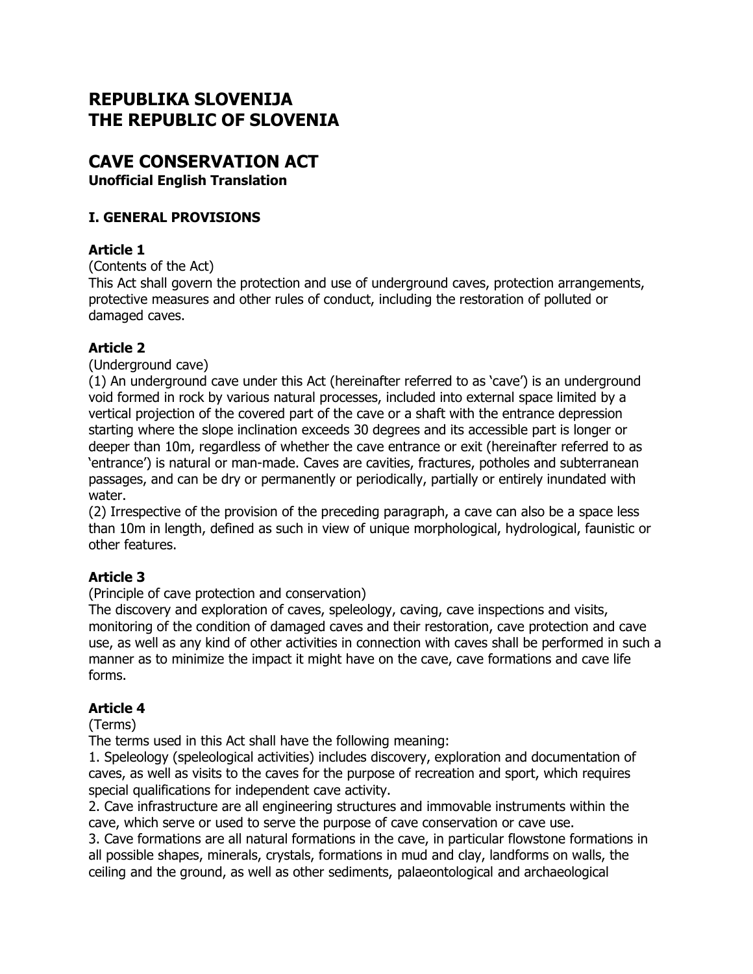# **REPUBLIKA SLOVENIJA THE REPUBLIC OF SLOVENIA**

# **CAVE CONSERVATION ACT**

**Unofficial English Translation**

# **I. GENERAL PROVISIONS**

# **Article 1**

(Contents of the Act)

This Act shall govern the protection and use of underground caves, protection arrangements, protective measures and other rules of conduct, including the restoration of polluted or damaged caves.

# **Article 2**

(Underground cave)

(1) An underground cave under this Act (hereinafter referred to as 'cave') is an underground void formed in rock by various natural processes, included into external space limited by a vertical projection of the covered part of the cave or a shaft with the entrance depression starting where the slope inclination exceeds 30 degrees and its accessible part is longer or deeper than 10m, regardless of whether the cave entrance or exit (hereinafter referred to as 'entrance') is natural or man-made. Caves are cavities, fractures, potholes and subterranean passages, and can be dry or permanently or periodically, partially or entirely inundated with water.

(2) Irrespective of the provision of the preceding paragraph, a cave can also be a space less than 10m in length, defined as such in view of unique morphological, hydrological, faunistic or other features.

# **Article 3**

(Principle of cave protection and conservation)

The discovery and exploration of caves, speleology, caving, cave inspections and visits, monitoring of the condition of damaged caves and their restoration, cave protection and cave use, as well as any kind of other activities in connection with caves shall be performed in such a manner as to minimize the impact it might have on the cave, cave formations and cave life forms.

# **Article 4**

(Terms)

The terms used in this Act shall have the following meaning:

1. Speleology (speleological activities) includes discovery, exploration and documentation of caves, as well as visits to the caves for the purpose of recreation and sport, which requires special qualifications for independent cave activity.

2. Cave infrastructure are all engineering structures and immovable instruments within the cave, which serve or used to serve the purpose of cave conservation or cave use.

3. Cave formations are all natural formations in the cave, in particular flowstone formations in all possible shapes, minerals, crystals, formations in mud and clay, landforms on walls, the ceiling and the ground, as well as other sediments, palaeontological and archaeological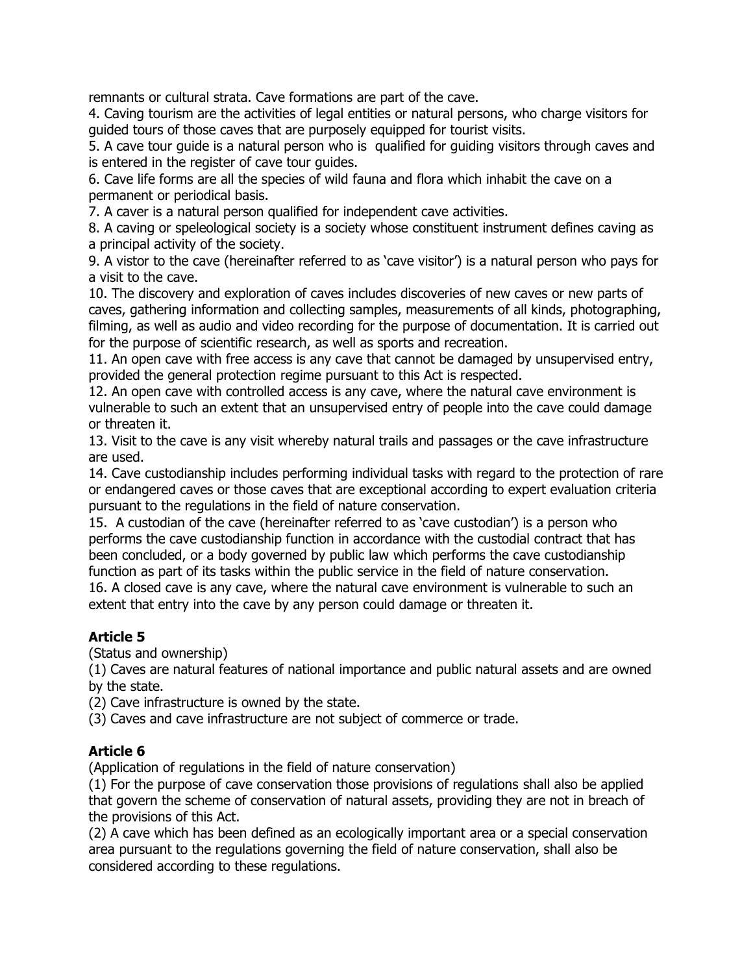remnants or cultural strata. Cave formations are part of the cave.

4. Caving tourism are the activities of legal entities or natural persons, who charge visitors for guided tours of those caves that are purposely equipped for tourist visits.

5. A cave tour guide is a natural person who is qualified for guiding visitors through caves and is entered in the register of cave tour guides.

6. Cave life forms are all the species of wild fauna and flora which inhabit the cave on a permanent or periodical basis.

7. A caver is a natural person qualified for independent cave activities.

8. A caving or speleological society is a society whose constituent instrument defines caving as a principal activity of the society.

9. A vistor to the cave (hereinafter referred to as 'cave visitor') is a natural person who pays for a visit to the cave.

10. The discovery and exploration of caves includes discoveries of new caves or new parts of caves, gathering information and collecting samples, measurements of all kinds, photographing, filming, as well as audio and video recording for the purpose of documentation. It is carried out for the purpose of scientific research, as well as sports and recreation.

11. An open cave with free access is any cave that cannot be damaged by unsupervised entry, provided the general protection regime pursuant to this Act is respected.

12. An open cave with controlled access is any cave, where the natural cave environment is vulnerable to such an extent that an unsupervised entry of people into the cave could damage or threaten it.

13. Visit to the cave is any visit whereby natural trails and passages or the cave infrastructure are used.

14. Cave custodianship includes performing individual tasks with regard to the protection of rare or endangered caves or those caves that are exceptional according to expert evaluation criteria pursuant to the regulations in the field of nature conservation.

15. A custodian of the cave (hereinafter referred to as 'cave custodian') is a person who performs the cave custodianship function in accordance with the custodial contract that has been concluded, or a body governed by public law which performs the cave custodianship function as part of its tasks within the public service in the field of nature conservation. 16. A closed cave is any cave, where the natural cave environment is vulnerable to such an

extent that entry into the cave by any person could damage or threaten it.

# **Article 5**

(Status and ownership)

(1) Caves are natural features of national importance and public natural assets and are owned by the state.

(2) Cave infrastructure is owned by the state.

(3) Caves and cave infrastructure are not subject of commerce or trade.

# **Article 6**

(Application of regulations in the field of nature conservation)

(1) For the purpose of cave conservation those provisions of regulations shall also be applied that govern the scheme of conservation of natural assets, providing they are not in breach of the provisions of this Act.

(2) A cave which has been defined as an ecologically important area or a special conservation area pursuant to the regulations governing the field of nature conservation, shall also be considered according to these regulations.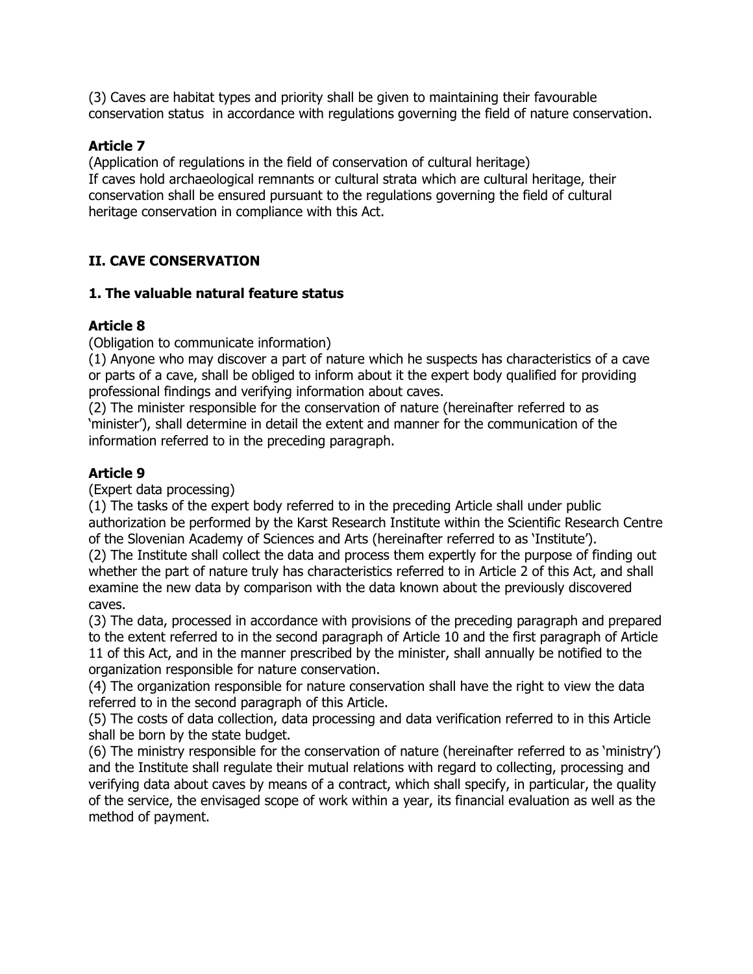(3) Caves are habitat types and priority shall be given to maintaining their favourable conservation status in accordance with regulations governing the field of nature conservation.

#### **Article 7**

(Application of regulations in the field of conservation of cultural heritage) If caves hold archaeological remnants or cultural strata which are cultural heritage, their conservation shall be ensured pursuant to the regulations governing the field of cultural heritage conservation in compliance with this Act.

# **II. CAVE CONSERVATION**

#### **1. The valuable natural feature status**

# **Article 8**

(Obligation to communicate information)

(1) Anyone who may discover a part of nature which he suspects has characteristics of a cave or parts of a cave, shall be obliged to inform about it the expert body qualified for providing professional findings and verifying information about caves.

(2) The minister responsible for the conservation of nature (hereinafter referred to as 'minister'), shall determine in detail the extent and manner for the communication of the information referred to in the preceding paragraph.

# **Article 9**

(Expert data processing)

(1) The tasks of the expert body referred to in the preceding Article shall under public authorization be performed by the Karst Research Institute within the Scientific Research Centre of the Slovenian Academy of Sciences and Arts (hereinafter referred to as 'Institute').

(2) The Institute shall collect the data and process them expertly for the purpose of finding out whether the part of nature truly has characteristics referred to in Article 2 of this Act, and shall examine the new data by comparison with the data known about the previously discovered caves.

(3) The data, processed in accordance with provisions of the preceding paragraph and prepared to the extent referred to in the second paragraph of Article 10 and the first paragraph of Article 11 of this Act, and in the manner prescribed by the minister, shall annually be notified to the organization responsible for nature conservation.

(4) The organization responsible for nature conservation shall have the right to view the data referred to in the second paragraph of this Article.

(5) The costs of data collection, data processing and data verification referred to in this Article shall be born by the state budget.

(6) The ministry responsible for the conservation of nature (hereinafter referred to as 'ministry') and the Institute shall regulate their mutual relations with regard to collecting, processing and verifying data about caves by means of a contract, which shall specify, in particular, the quality of the service, the envisaged scope of work within a year, its financial evaluation as well as the method of payment.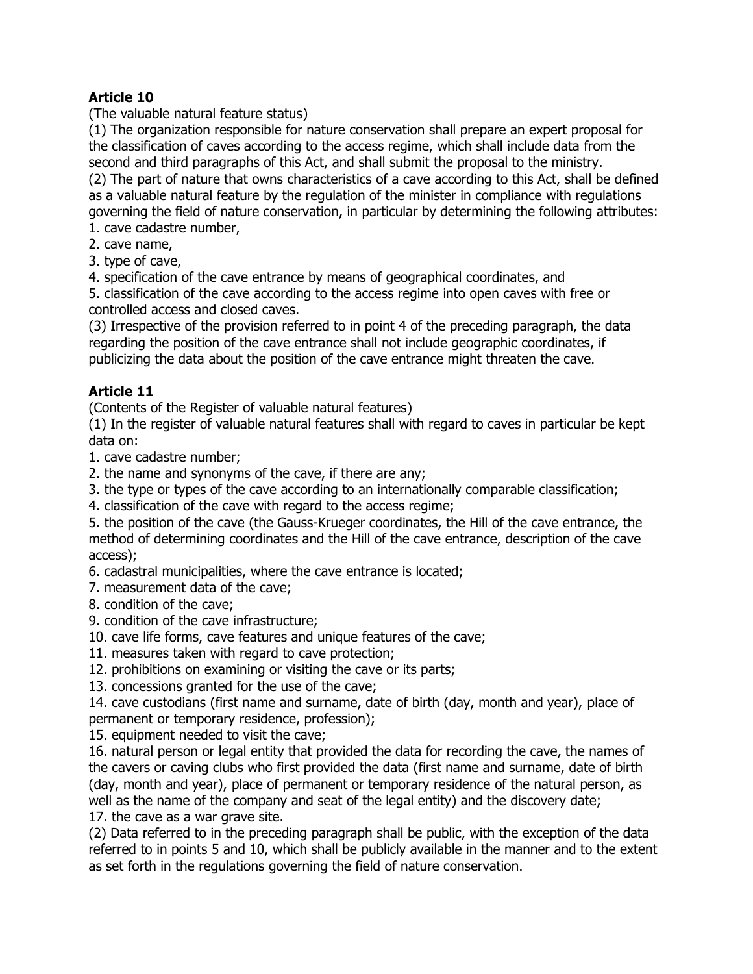(The valuable natural feature status)

(1) The organization responsible for nature conservation shall prepare an expert proposal for the classification of caves according to the access regime, which shall include data from the second and third paragraphs of this Act, and shall submit the proposal to the ministry. (2) The part of nature that owns characteristics of a cave according to this Act, shall be defined as a valuable natural feature by the regulation of the minister in compliance with regulations governing the field of nature conservation, in particular by determining the following attributes:

- 1. cave cadastre number,
- 2. cave name,
- 3. type of cave,

4. specification of the cave entrance by means of geographical coordinates, and

5. classification of the cave according to the access regime into open caves with free or controlled access and closed caves.

(3) Irrespective of the provision referred to in point 4 of the preceding paragraph, the data regarding the position of the cave entrance shall not include geographic coordinates, if publicizing the data about the position of the cave entrance might threaten the cave.

# **Article 11**

(Contents of the Register of valuable natural features)

(1) In the register of valuable natural features shall with regard to caves in particular be kept data on:

1. cave cadastre number;

2. the name and synonyms of the cave, if there are any;

3. the type or types of the cave according to an internationally comparable classification;

4. classification of the cave with regard to the access regime;

5. the position of the cave (the Gauss-Krueger coordinates, the Hill of the cave entrance, the method of determining coordinates and the Hill of the cave entrance, description of the cave access);

6. cadastral municipalities, where the cave entrance is located;

7. measurement data of the cave;

8. condition of the cave;

9. condition of the cave infrastructure;

10. cave life forms, cave features and unique features of the cave;

11. measures taken with regard to cave protection;

12. prohibitions on examining or visiting the cave or its parts;

13. concessions granted for the use of the cave;

14. cave custodians (first name and surname, date of birth (day, month and year), place of permanent or temporary residence, profession);

15. equipment needed to visit the cave;

16. natural person or legal entity that provided the data for recording the cave, the names of the cavers or caving clubs who first provided the data (first name and surname, date of birth (day, month and year), place of permanent or temporary residence of the natural person, as well as the name of the company and seat of the legal entity) and the discovery date;

17. the cave as a war grave site.

(2) Data referred to in the preceding paragraph shall be public, with the exception of the data referred to in points 5 and 10, which shall be publicly available in the manner and to the extent as set forth in the regulations governing the field of nature conservation.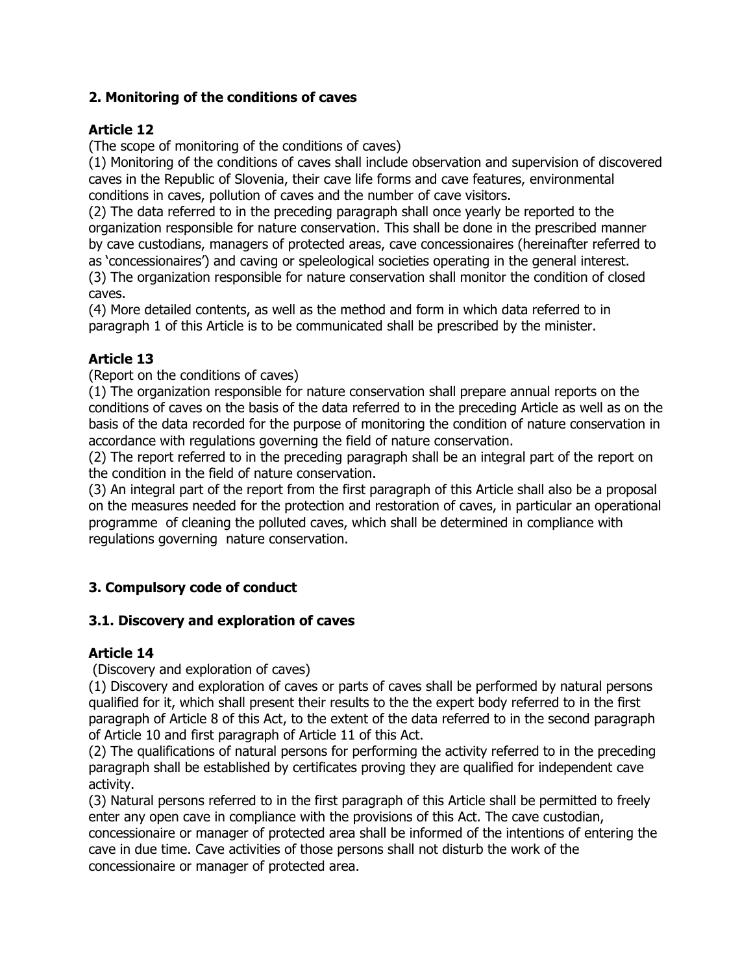# **2. Monitoring of the conditions of caves**

# **Article 12**

(The scope of monitoring of the conditions of caves)

(1) Monitoring of the conditions of caves shall include observation and supervision of discovered caves in the Republic of Slovenia, their cave life forms and cave features, environmental conditions in caves, pollution of caves and the number of cave visitors.

(2) The data referred to in the preceding paragraph shall once yearly be reported to the organization responsible for nature conservation. This shall be done in the prescribed manner by cave custodians, managers of protected areas, cave concessionaires (hereinafter referred to as 'concessionaires') and caving or speleological societies operating in the general interest. (3) The organization responsible for nature conservation shall monitor the condition of closed

caves.

(4) More detailed contents, as well as the method and form in which data referred to in paragraph 1 of this Article is to be communicated shall be prescribed by the minister.

# **Article 13**

(Report on the conditions of caves)

(1) The organization responsible for nature conservation shall prepare annual reports on the conditions of caves on the basis of the data referred to in the preceding Article as well as on the basis of the data recorded for the purpose of monitoring the condition of nature conservation in accordance with regulations governing the field of nature conservation.

(2) The report referred to in the preceding paragraph shall be an integral part of the report on the condition in the field of nature conservation.

(3) An integral part of the report from the first paragraph of this Article shall also be a proposal on the measures needed for the protection and restoration of caves, in particular an operational programme of cleaning the polluted caves, which shall be determined in compliance with regulations governing nature conservation.

# **3. Compulsory code of conduct**

# **3.1. Discovery and exploration of caves**

# **Article 14**

# (Discovery and exploration of caves)

(1) Discovery and exploration of caves or parts of caves shall be performed by natural persons qualified for it, which shall present their results to the the expert body referred to in the first paragraph of Article 8 of this Act, to the extent of the data referred to in the second paragraph of Article 10 and first paragraph of Article 11 of this Act.

(2) The qualifications of natural persons for performing the activity referred to in the preceding paragraph shall be established by certificates proving they are qualified for independent cave activity.

(3) Natural persons referred to in the first paragraph of this Article shall be permitted to freely enter any open cave in compliance with the provisions of this Act. The cave custodian, concessionaire or manager of protected area shall be informed of the intentions of entering the cave in due time. Cave activities of those persons shall not disturb the work of the concessionaire or manager of protected area.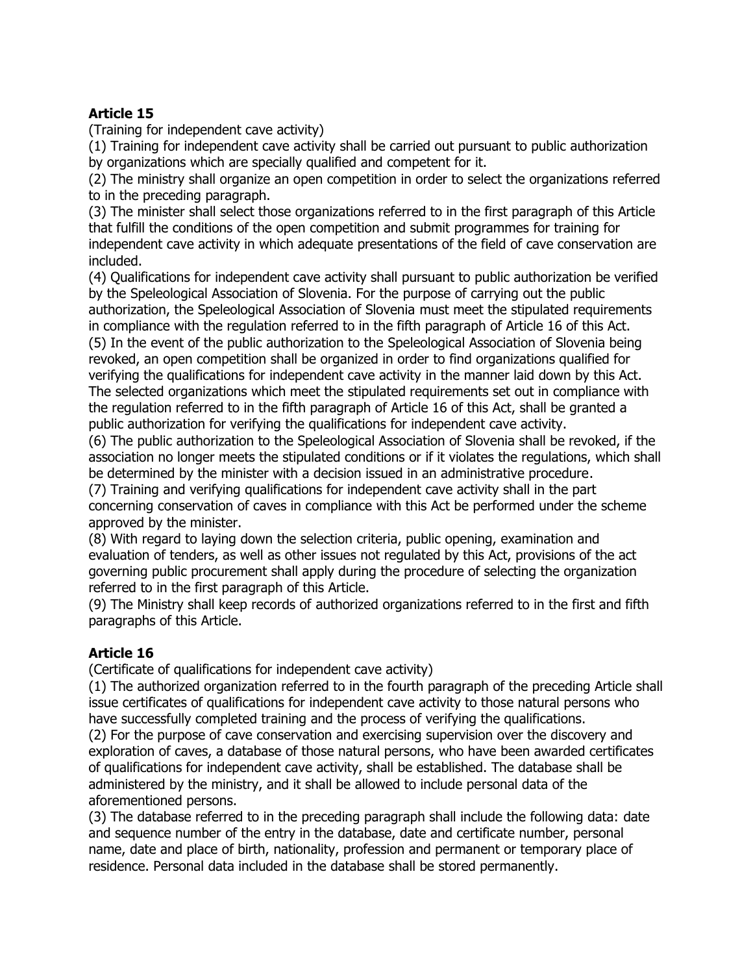(Training for independent cave activity)

(1) Training for independent cave activity shall be carried out pursuant to public authorization by organizations which are specially qualified and competent for it.

(2) The ministry shall organize an open competition in order to select the organizations referred to in the preceding paragraph.

(3) The minister shall select those organizations referred to in the first paragraph of this Article that fulfill the conditions of the open competition and submit programmes for training for independent cave activity in which adequate presentations of the field of cave conservation are included.

(4) Qualifications for independent cave activity shall pursuant to public authorization be verified by the Speleological Association of Slovenia. For the purpose of carrying out the public authorization, the Speleological Association of Slovenia must meet the stipulated requirements

in compliance with the regulation referred to in the fifth paragraph of Article 16 of this Act. (5) In the event of the public authorization to the Speleological Association of Slovenia being revoked, an open competition shall be organized in order to find organizations qualified for verifying the qualifications for independent cave activity in the manner laid down by this Act. The selected organizations which meet the stipulated requirements set out in compliance with the regulation referred to in the fifth paragraph of Article 16 of this Act, shall be granted a public authorization for verifying the qualifications for independent cave activity.

(6) The public authorization to the Speleological Association of Slovenia shall be revoked, if the association no longer meets the stipulated conditions or if it violates the regulations, which shall be determined by the minister with a decision issued in an administrative procedure.

(7) Training and verifying qualifications for independent cave activity shall in the part concerning conservation of caves in compliance with this Act be performed under the scheme approved by the minister.

(8) With regard to laying down the selection criteria, public opening, examination and evaluation of tenders, as well as other issues not regulated by this Act, provisions of the act governing public procurement shall apply during the procedure of selecting the organization referred to in the first paragraph of this Article.

(9) The Ministry shall keep records of authorized organizations referred to in the first and fifth paragraphs of this Article.

# **Article 16**

(Certificate of qualifications for independent cave activity)

(1) The authorized organization referred to in the fourth paragraph of the preceding Article shall issue certificates of qualifications for independent cave activity to those natural persons who have successfully completed training and the process of verifying the qualifications.

(2) For the purpose of cave conservation and exercising supervision over the discovery and exploration of caves, a database of those natural persons, who have been awarded certificates of qualifications for independent cave activity, shall be established. The database shall be administered by the ministry, and it shall be allowed to include personal data of the aforementioned persons.

(3) The database referred to in the preceding paragraph shall include the following data: date and sequence number of the entry in the database, date and certificate number, personal name, date and place of birth, nationality, profession and permanent or temporary place of residence. Personal data included in the database shall be stored permanently.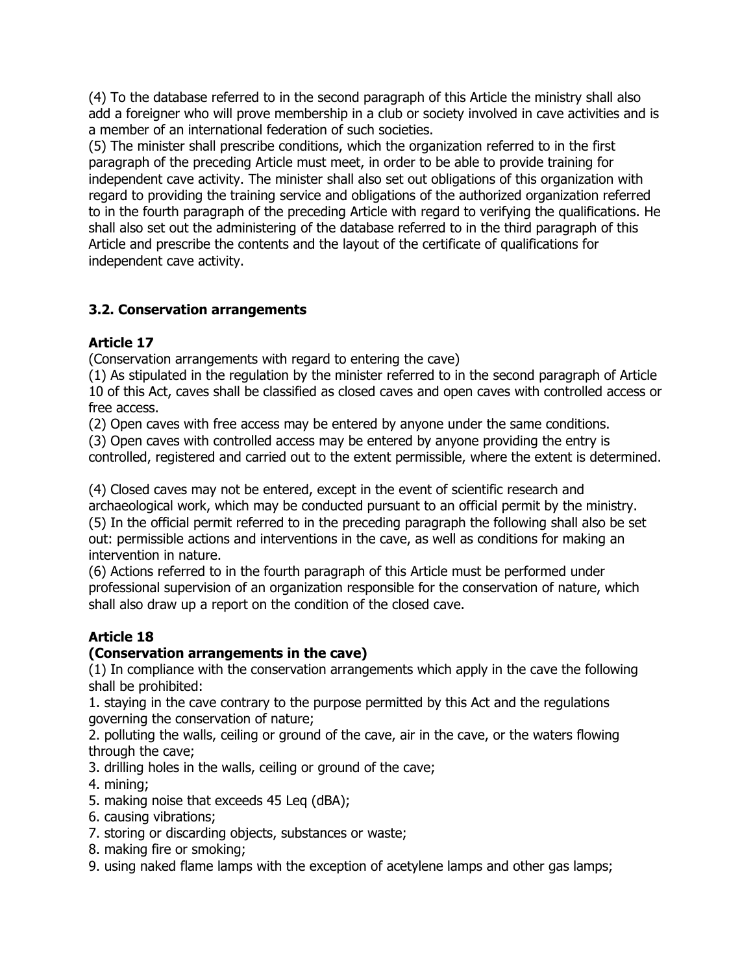(4) To the database referred to in the second paragraph of this Article the ministry shall also add a foreigner who will prove membership in a club or society involved in cave activities and is a member of an international federation of such societies.

(5) The minister shall prescribe conditions, which the organization referred to in the first paragraph of the preceding Article must meet, in order to be able to provide training for independent cave activity. The minister shall also set out obligations of this organization with regard to providing the training service and obligations of the authorized organization referred to in the fourth paragraph of the preceding Article with regard to verifying the qualifications. He shall also set out the administering of the database referred to in the third paragraph of this Article and prescribe the contents and the layout of the certificate of qualifications for independent cave activity.

# **3.2. Conservation arrangements**

# **Article 17**

(Conservation arrangements with regard to entering the cave)

(1) As stipulated in the regulation by the minister referred to in the second paragraph of Article 10 of this Act, caves shall be classified as closed caves and open caves with controlled access or free access.

(2) Open caves with free access may be entered by anyone under the same conditions.

(3) Open caves with controlled access may be entered by anyone providing the entry is controlled, registered and carried out to the extent permissible, where the extent is determined.

(4) Closed caves may not be entered, except in the event of scientific research and archaeological work, which may be conducted pursuant to an official permit by the ministry. (5) In the official permit referred to in the preceding paragraph the following shall also be set out: permissible actions and interventions in the cave, as well as conditions for making an intervention in nature.

(6) Actions referred to in the fourth paragraph of this Article must be performed under professional supervision of an organization responsible for the conservation of nature, which shall also draw up a report on the condition of the closed cave.

# **Article 18**

# **(Conservation arrangements in the cave)**

(1) In compliance with the conservation arrangements which apply in the cave the following shall be prohibited:

1. staying in the cave contrary to the purpose permitted by this Act and the regulations governing the conservation of nature;

2. polluting the walls, ceiling or ground of the cave, air in the cave, or the waters flowing through the cave;

3. drilling holes in the walls, ceiling or ground of the cave;

- 4. mining;
- 5. making noise that exceeds 45 Leq (dBA);
- 6. causing vibrations;
- 7. storing or discarding objects, substances or waste;
- 8. making fire or smoking;
- 9. using naked flame lamps with the exception of acetylene lamps and other gas lamps;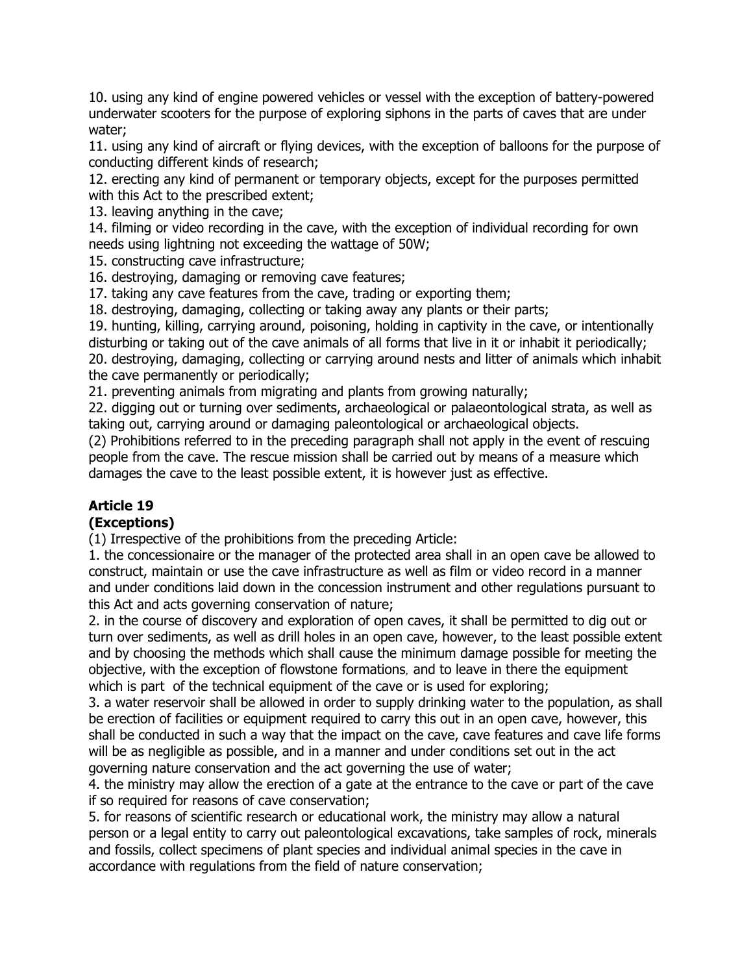10. using any kind of engine powered vehicles or vessel with the exception of battery-powered underwater scooters for the purpose of exploring siphons in the parts of caves that are under water;

11. using any kind of aircraft or flying devices, with the exception of balloons for the purpose of conducting different kinds of research;

12. erecting any kind of permanent or temporary objects, except for the purposes permitted with this Act to the prescribed extent;

13. leaving anything in the cave;

14. filming or video recording in the cave, with the exception of individual recording for own needs using lightning not exceeding the wattage of 50W;

15. constructing cave infrastructure;

16. destroying, damaging or removing cave features;

17. taking any cave features from the cave, trading or exporting them;

18. destroying, damaging, collecting or taking away any plants or their parts;

19. hunting, killing, carrying around, poisoning, holding in captivity in the cave, or intentionally disturbing or taking out of the cave animals of all forms that live in it or inhabit it periodically; 20. destroying, damaging, collecting or carrying around nests and litter of animals which inhabit the cave permanently or periodically;

21. preventing animals from migrating and plants from growing naturally;

22. digging out or turning over sediments, archaeological or palaeontological strata, as well as taking out, carrying around or damaging paleontological or archaeological objects.

(2) Prohibitions referred to in the preceding paragraph shall not apply in the event of rescuing people from the cave. The rescue mission shall be carried out by means of a measure which damages the cave to the least possible extent, it is however just as effective.

# **Article 19**

# **(Exceptions)**

(1) Irrespective of the prohibitions from the preceding Article:

1. the concessionaire or the manager of the protected area shall in an open cave be allowed to construct, maintain or use the cave infrastructure as well as film or video record in a manner and under conditions laid down in the concession instrument and other regulations pursuant to this Act and acts governing conservation of nature;

2. in the course of discovery and exploration of open caves, it shall be permitted to dig out or turn over sediments, as well as drill holes in an open cave, however, to the least possible extent and by choosing the methods which shall cause the minimum damage possible for meeting the objective, with the exception of flowstone formations*,* and to leave in there the equipment which is part of the technical equipment of the cave or is used for exploring;

3. a water reservoir shall be allowed in order to supply drinking water to the population, as shall be erection of facilities or equipment required to carry this out in an open cave, however, this shall be conducted in such a way that the impact on the cave, cave features and cave life forms will be as negligible as possible, and in a manner and under conditions set out in the act governing nature conservation and the act governing the use of water;

4. the ministry may allow the erection of a gate at the entrance to the cave or part of the cave if so required for reasons of cave conservation;

5. for reasons of scientific research or educational work, the ministry may allow a natural person or a legal entity to carry out paleontological excavations, take samples of rock, minerals and fossils, collect specimens of plant species and individual animal species in the cave in accordance with regulations from the field of nature conservation;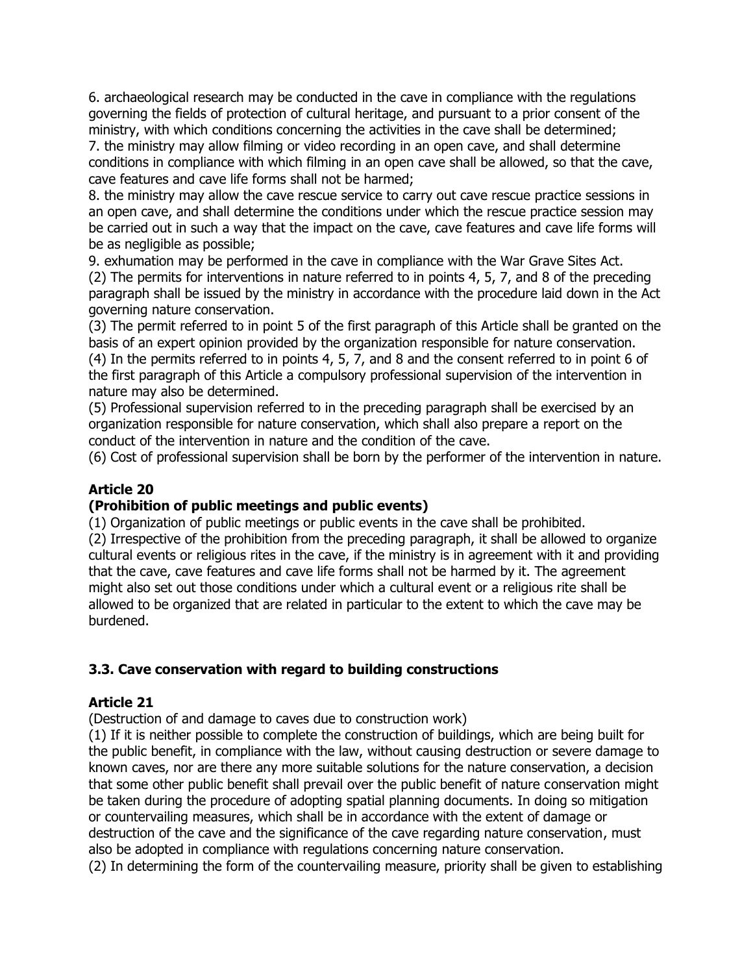6. archaeological research may be conducted in the cave in compliance with the regulations governing the fields of protection of cultural heritage, and pursuant to a prior consent of the ministry, with which conditions concerning the activities in the cave shall be determined;

7. the ministry may allow filming or video recording in an open cave, and shall determine conditions in compliance with which filming in an open cave shall be allowed, so that the cave, cave features and cave life forms shall not be harmed;

8. the ministry may allow the cave rescue service to carry out cave rescue practice sessions in an open cave, and shall determine the conditions under which the rescue practice session may be carried out in such a way that the impact on the cave, cave features and cave life forms will be as negligible as possible;

9. exhumation may be performed in the cave in compliance with the War Grave Sites Act. (2) The permits for interventions in nature referred to in points 4, 5, 7, and 8 of the preceding paragraph shall be issued by the ministry in accordance with the procedure laid down in the Act governing nature conservation.

(3) The permit referred to in point 5 of the first paragraph of this Article shall be granted on the basis of an expert opinion provided by the organization responsible for nature conservation. (4) In the permits referred to in points 4, 5, 7, and 8 and the consent referred to in point 6 of the first paragraph of this Article a compulsory professional supervision of the intervention in nature may also be determined.

(5) Professional supervision referred to in the preceding paragraph shall be exercised by an organization responsible for nature conservation, which shall also prepare a report on the conduct of the intervention in nature and the condition of the cave.

(6) Cost of professional supervision shall be born by the performer of the intervention in nature.

# **Article 20**

#### **(Prohibition of public meetings and public events)**

(1) Organization of public meetings or public events in the cave shall be prohibited.

(2) Irrespective of the prohibition from the preceding paragraph, it shall be allowed to organize cultural events or religious rites in the cave, if the ministry is in agreement with it and providing that the cave, cave features and cave life forms shall not be harmed by it. The agreement might also set out those conditions under which a cultural event or a religious rite shall be allowed to be organized that are related in particular to the extent to which the cave may be burdened.

# **3.3. Cave conservation with regard to building constructions**

# **Article 21**

(Destruction of and damage to caves due to construction work)

(1) If it is neither possible to complete the construction of buildings, which are being built for the public benefit, in compliance with the law, without causing destruction or severe damage to known caves, nor are there any more suitable solutions for the nature conservation, a decision that some other public benefit shall prevail over the public benefit of nature conservation might be taken during the procedure of adopting spatial planning documents. In doing so mitigation or countervailing measures, which shall be in accordance with the extent of damage or destruction of the cave and the significance of the cave regarding nature conservation, must also be adopted in compliance with regulations concerning nature conservation. (2) In determining the form of the countervailing measure, priority shall be given to establishing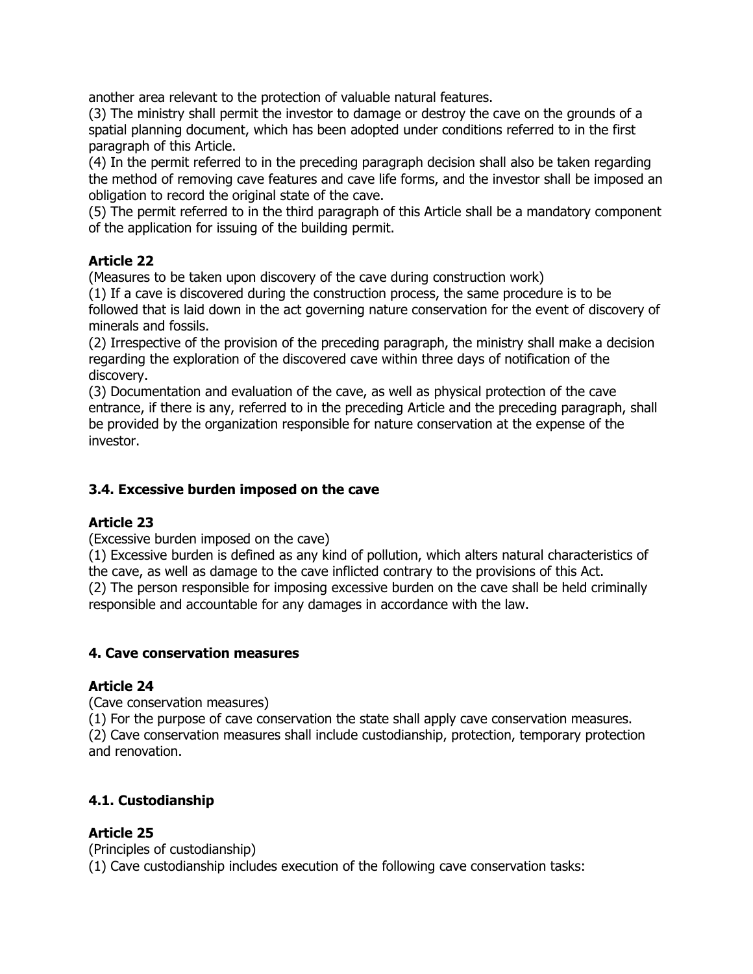another area relevant to the protection of valuable natural features.

(3) The ministry shall permit the investor to damage or destroy the cave on the grounds of a spatial planning document, which has been adopted under conditions referred to in the first paragraph of this Article.

(4) In the permit referred to in the preceding paragraph decision shall also be taken regarding the method of removing cave features and cave life forms, and the investor shall be imposed an obligation to record the original state of the cave.

(5) The permit referred to in the third paragraph of this Article shall be a mandatory component of the application for issuing of the building permit.

# **Article 22**

(Measures to be taken upon discovery of the cave during construction work)

(1) If a cave is discovered during the construction process, the same procedure is to be followed that is laid down in the act governing nature conservation for the event of discovery of minerals and fossils.

(2) Irrespective of the provision of the preceding paragraph, the ministry shall make a decision regarding the exploration of the discovered cave within three days of notification of the discovery.

(3) Documentation and evaluation of the cave, as well as physical protection of the cave entrance, if there is any, referred to in the preceding Article and the preceding paragraph, shall be provided by the organization responsible for nature conservation at the expense of the investor.

# **3.4. Excessive burden imposed on the cave**

# **Article 23**

(Excessive burden imposed on the cave)

(1) Excessive burden is defined as any kind of pollution, which alters natural characteristics of the cave, as well as damage to the cave inflicted contrary to the provisions of this Act. (2) The person responsible for imposing excessive burden on the cave shall be held criminally responsible and accountable for any damages in accordance with the law.

# **4. Cave conservation measures**

# **Article 24**

(Cave conservation measures)

(1) For the purpose of cave conservation the state shall apply cave conservation measures. (2) Cave conservation measures shall include custodianship, protection, temporary protection and renovation.

# **4.1. Custodianship**

# **Article 25**

(Principles of custodianship) (1) Cave custodianship includes execution of the following cave conservation tasks: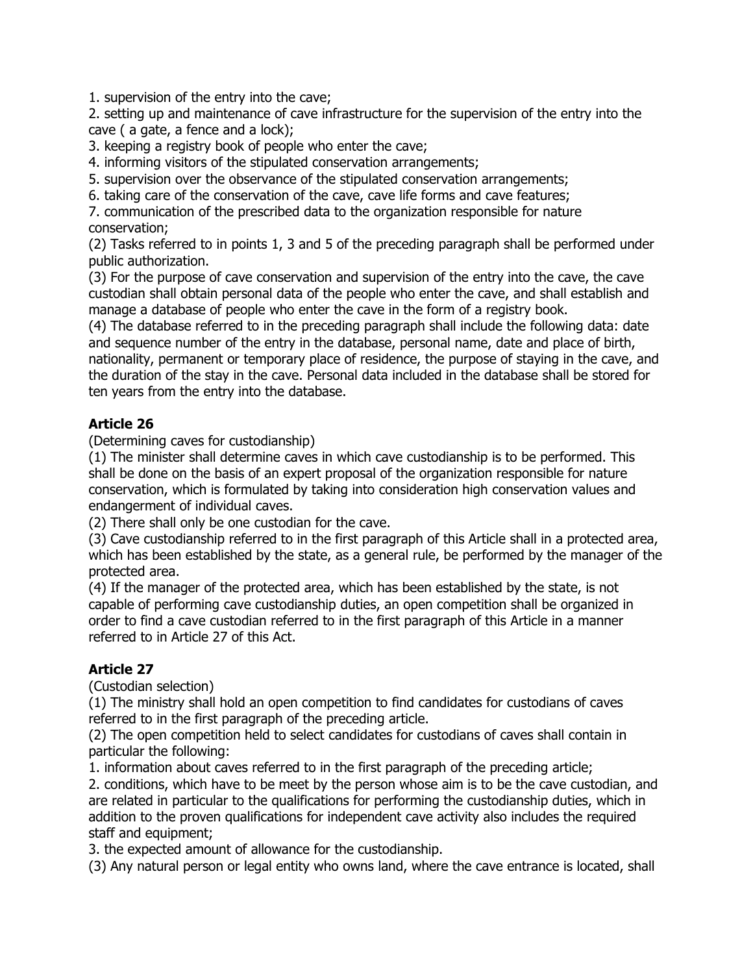1. supervision of the entry into the cave;

2. setting up and maintenance of cave infrastructure for the supervision of the entry into the cave ( a gate, a fence and a lock);

3. keeping a registry book of people who enter the cave;

4. informing visitors of the stipulated conservation arrangements;

5. supervision over the observance of the stipulated conservation arrangements;

6. taking care of the conservation of the cave, cave life forms and cave features;

7. communication of the prescribed data to the organization responsible for nature conservation;

(2) Tasks referred to in points 1, 3 and 5 of the preceding paragraph shall be performed under public authorization.

(3) For the purpose of cave conservation and supervision of the entry into the cave, the cave custodian shall obtain personal data of the people who enter the cave, and shall establish and manage a database of people who enter the cave in the form of a registry book.

(4) The database referred to in the preceding paragraph shall include the following data: date and sequence number of the entry in the database, personal name, date and place of birth, nationality, permanent or temporary place of residence, the purpose of staying in the cave, and the duration of the stay in the cave. Personal data included in the database shall be stored for ten years from the entry into the database.

# **Article 26**

(Determining caves for custodianship)

(1) The minister shall determine caves in which cave custodianship is to be performed. This shall be done on the basis of an expert proposal of the organization responsible for nature conservation, which is formulated by taking into consideration high conservation values and endangerment of individual caves.

(2) There shall only be one custodian for the cave.

(3) Cave custodianship referred to in the first paragraph of this Article shall in a protected area, which has been established by the state, as a general rule, be performed by the manager of the protected area.

(4) If the manager of the protected area, which has been established by the state, is not capable of performing cave custodianship duties, an open competition shall be organized in order to find a cave custodian referred to in the first paragraph of this Article in a manner referred to in Article 27 of this Act.

# **Article 27**

(Custodian selection)

(1) The ministry shall hold an open competition to find candidates for custodians of caves referred to in the first paragraph of the preceding article.

(2) The open competition held to select candidates for custodians of caves shall contain in particular the following:

1. information about caves referred to in the first paragraph of the preceding article;

2. conditions, which have to be meet by the person whose aim is to be the cave custodian, and are related in particular to the qualifications for performing the custodianship duties, which in addition to the proven qualifications for independent cave activity also includes the required staff and equipment;

3. the expected amount of allowance for the custodianship.

(3) Any natural person or legal entity who owns land, where the cave entrance is located, shall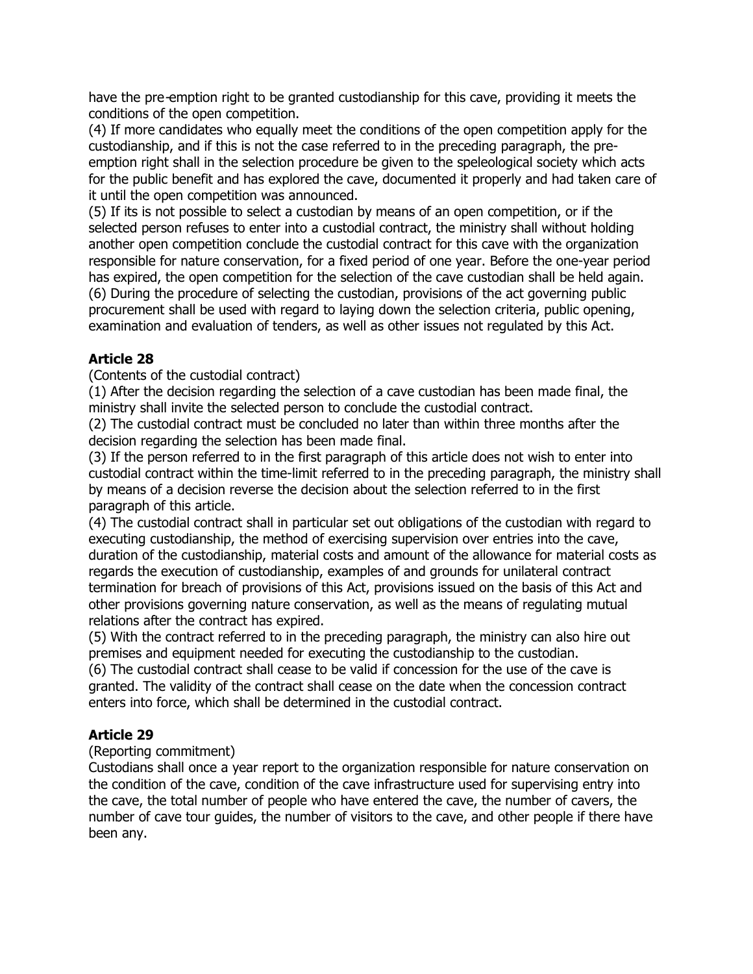have the pre-emption right to be granted custodianship for this cave, providing it meets the conditions of the open competition.

(4) If more candidates who equally meet the conditions of the open competition apply for the custodianship, and if this is not the case referred to in the preceding paragraph, the preemption right shall in the selection procedure be given to the speleological society which acts for the public benefit and has explored the cave, documented it properly and had taken care of it until the open competition was announced.

(5) If its is not possible to select a custodian by means of an open competition, or if the selected person refuses to enter into a custodial contract, the ministry shall without holding another open competition conclude the custodial contract for this cave with the organization responsible for nature conservation, for a fixed period of one year. Before the one-year period has expired, the open competition for the selection of the cave custodian shall be held again. (6) During the procedure of selecting the custodian, provisions of the act governing public procurement shall be used with regard to laying down the selection criteria, public opening, examination and evaluation of tenders, as well as other issues not regulated by this Act.

# **Article 28**

(Contents of the custodial contract)

(1) After the decision regarding the selection of a cave custodian has been made final, the ministry shall invite the selected person to conclude the custodial contract.

(2) The custodial contract must be concluded no later than within three months after the decision regarding the selection has been made final.

(3) If the person referred to in the first paragraph of this article does not wish to enter into custodial contract within the time-limit referred to in the preceding paragraph, the ministry shall by means of a decision reverse the decision about the selection referred to in the first paragraph of this article.

(4) The custodial contract shall in particular set out obligations of the custodian with regard to executing custodianship, the method of exercising supervision over entries into the cave, duration of the custodianship, material costs and amount of the allowance for material costs as regards the execution of custodianship, examples of and grounds for unilateral contract termination for breach of provisions of this Act, provisions issued on the basis of this Act and other provisions governing nature conservation, as well as the means of regulating mutual relations after the contract has expired.

(5) With the contract referred to in the preceding paragraph, the ministry can also hire out premises and equipment needed for executing the custodianship to the custodian.

(6) The custodial contract shall cease to be valid if concession for the use of the cave is granted. The validity of the contract shall cease on the date when the concession contract enters into force, which shall be determined in the custodial contract.

# **Article 29**

# (Reporting commitment)

Custodians shall once a year report to the organization responsible for nature conservation on the condition of the cave, condition of the cave infrastructure used for supervising entry into the cave, the total number of people who have entered the cave, the number of cavers, the number of cave tour guides, the number of visitors to the cave, and other people if there have been any.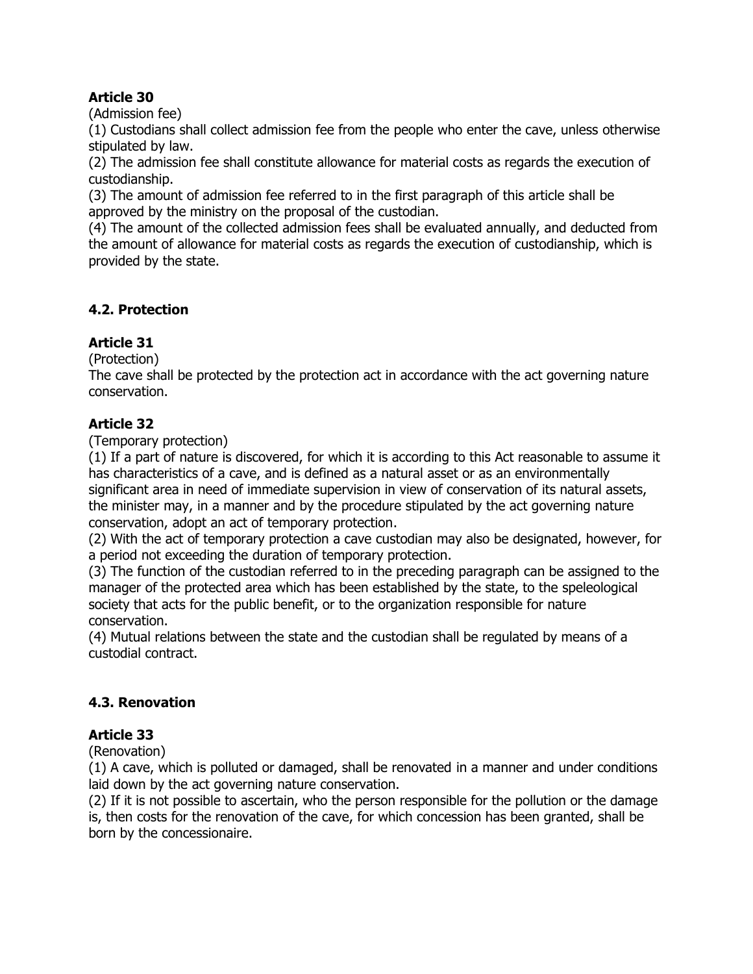(Admission fee)

(1) Custodians shall collect admission fee from the people who enter the cave, unless otherwise stipulated by law.

(2) The admission fee shall constitute allowance for material costs as regards the execution of custodianship.

(3) The amount of admission fee referred to in the first paragraph of this article shall be approved by the ministry on the proposal of the custodian.

(4) The amount of the collected admission fees shall be evaluated annually, and deducted from the amount of allowance for material costs as regards the execution of custodianship, which is provided by the state.

# **4.2. Protection**

# **Article 31**

(Protection)

The cave shall be protected by the protection act in accordance with the act governing nature conservation.

# **Article 32**

(Temporary protection)

(1) If a part of nature is discovered, for which it is according to this Act reasonable to assume it has characteristics of a cave, and is defined as a natural asset or as an environmentally significant area in need of immediate supervision in view of conservation of its natural assets, the minister may, in a manner and by the procedure stipulated by the act governing nature conservation, adopt an act of temporary protection.

(2) With the act of temporary protection a cave custodian may also be designated, however, for a period not exceeding the duration of temporary protection.

(3) The function of the custodian referred to in the preceding paragraph can be assigned to the manager of the protected area which has been established by the state, to the speleological society that acts for the public benefit, or to the organization responsible for nature conservation.

(4) Mutual relations between the state and the custodian shall be regulated by means of a custodial contract.

# **4.3. Renovation**

# **Article 33**

(Renovation)

(1) A cave, which is polluted or damaged, shall be renovated in a manner and under conditions laid down by the act governing nature conservation.

(2) If it is not possible to ascertain, who the person responsible for the pollution or the damage is, then costs for the renovation of the cave, for which concession has been granted, shall be born by the concessionaire.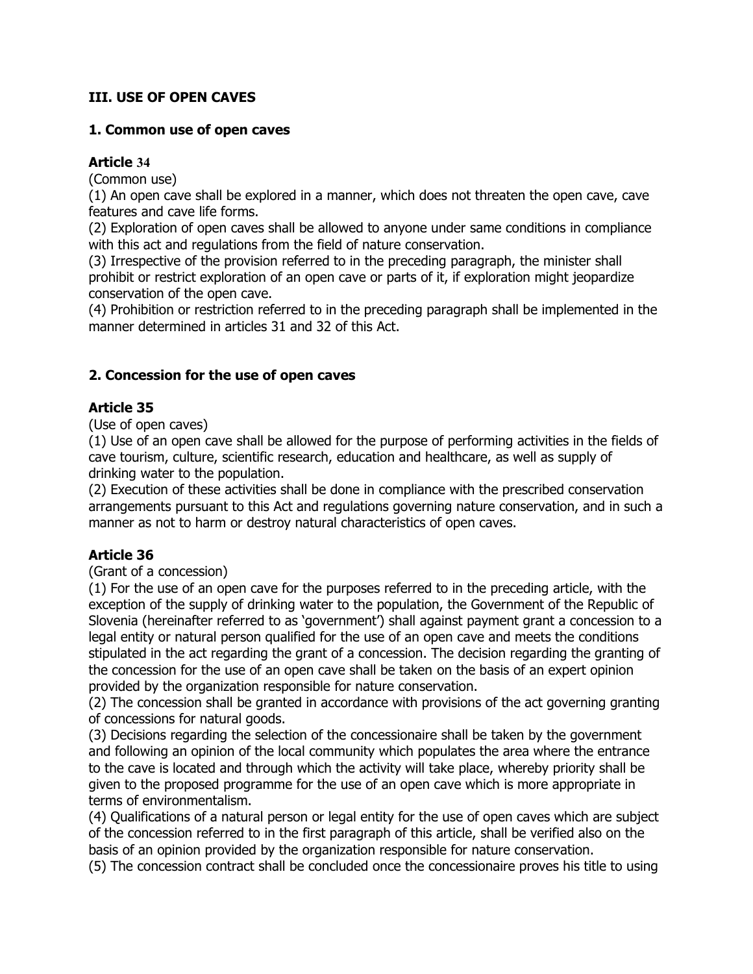# **III. USE OF OPEN CAVES**

#### **1. Common use of open caves**

# **Article 34**

(Common use)

(1) An open cave shall be explored in a manner, which does not threaten the open cave, cave features and cave life forms.

(2) Exploration of open caves shall be allowed to anyone under same conditions in compliance with this act and regulations from the field of nature conservation.

(3) Irrespective of the provision referred to in the preceding paragraph, the minister shall prohibit or restrict exploration of an open cave or parts of it, if exploration might jeopardize conservation of the open cave.

(4) Prohibition or restriction referred to in the preceding paragraph shall be implemented in the manner determined in articles 31 and 32 of this Act.

# **2. Concession for the use of open caves**

# **Article 35**

(Use of open caves)

(1) Use of an open cave shall be allowed for the purpose of performing activities in the fields of cave tourism, culture, scientific research, education and healthcare, as well as supply of drinking water to the population.

(2) Execution of these activities shall be done in compliance with the prescribed conservation arrangements pursuant to this Act and regulations governing nature conservation, and in such a manner as not to harm or destroy natural characteristics of open caves.

# **Article 36**

(Grant of a concession)

(1) For the use of an open cave for the purposes referred to in the preceding article, with the exception of the supply of drinking water to the population, the Government of the Republic of Slovenia (hereinafter referred to as 'government') shall against payment grant a concession to a legal entity or natural person qualified for the use of an open cave and meets the conditions stipulated in the act regarding the grant of a concession. The decision regarding the granting of the concession for the use of an open cave shall be taken on the basis of an expert opinion provided by the organization responsible for nature conservation.

(2) The concession shall be granted in accordance with provisions of the act governing granting of concessions for natural goods.

(3) Decisions regarding the selection of the concessionaire shall be taken by the government and following an opinion of the local community which populates the area where the entrance to the cave is located and through which the activity will take place, whereby priority shall be given to the proposed programme for the use of an open cave which is more appropriate in terms of environmentalism.

(4) Qualifications of a natural person or legal entity for the use of open caves which are subject of the concession referred to in the first paragraph of this article, shall be verified also on the basis of an opinion provided by the organization responsible for nature conservation.

(5) The concession contract shall be concluded once the concessionaire proves his title to using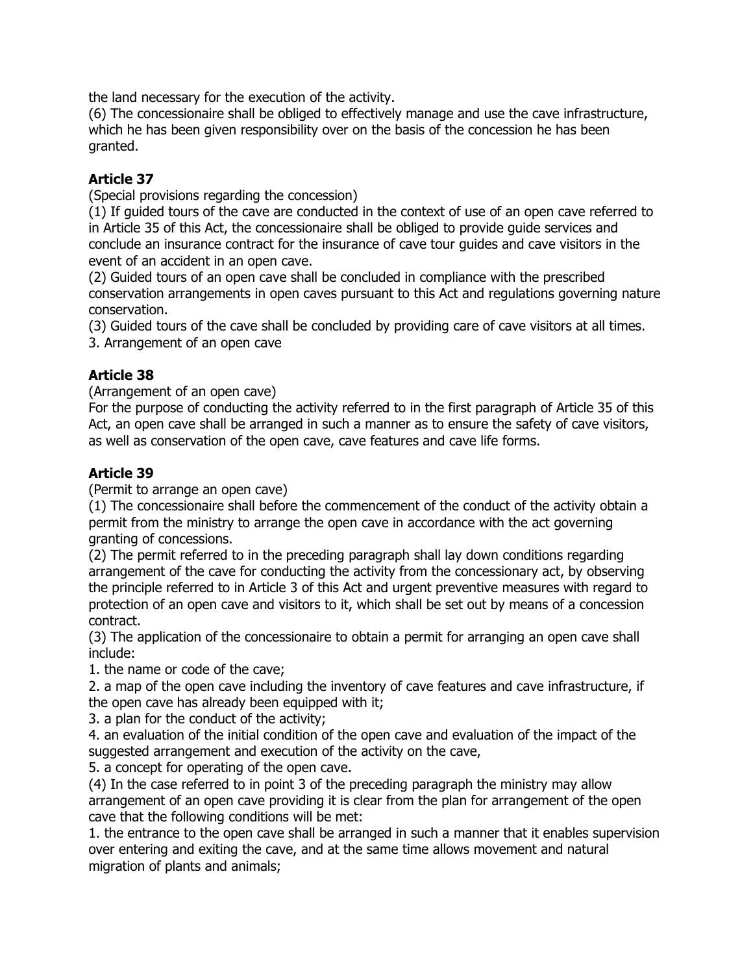the land necessary for the execution of the activity.

(6) The concessionaire shall be obliged to effectively manage and use the cave infrastructure, which he has been given responsibility over on the basis of the concession he has been granted.

# **Article 37**

(Special provisions regarding the concession)

(1) If guided tours of the cave are conducted in the context of use of an open cave referred to in Article 35 of this Act, the concessionaire shall be obliged to provide guide services and conclude an insurance contract for the insurance of cave tour guides and cave visitors in the event of an accident in an open cave.

(2) Guided tours of an open cave shall be concluded in compliance with the prescribed conservation arrangements in open caves pursuant to this Act and regulations governing nature conservation.

(3) Guided tours of the cave shall be concluded by providing care of cave visitors at all times. 3. Arrangement of an open cave

# **Article 38**

(Arrangement of an open cave)

For the purpose of conducting the activity referred to in the first paragraph of Article 35 of this Act, an open cave shall be arranged in such a manner as to ensure the safety of cave visitors, as well as conservation of the open cave, cave features and cave life forms.

# **Article 39**

(Permit to arrange an open cave)

(1) The concessionaire shall before the commencement of the conduct of the activity obtain a permit from the ministry to arrange the open cave in accordance with the act governing granting of concessions.

(2) The permit referred to in the preceding paragraph shall lay down conditions regarding arrangement of the cave for conducting the activity from the concessionary act, by observing the principle referred to in Article 3 of this Act and urgent preventive measures with regard to protection of an open cave and visitors to it, which shall be set out by means of a concession contract.

(3) The application of the concessionaire to obtain a permit for arranging an open cave shall include:

1. the name or code of the cave;

2. a map of the open cave including the inventory of cave features and cave infrastructure, if the open cave has already been equipped with it;

3. a plan for the conduct of the activity;

4. an evaluation of the initial condition of the open cave and evaluation of the impact of the suggested arrangement and execution of the activity on the cave,

5. a concept for operating of the open cave.

(4) In the case referred to in point 3 of the preceding paragraph the ministry may allow arrangement of an open cave providing it is clear from the plan for arrangement of the open cave that the following conditions will be met:

1. the entrance to the open cave shall be arranged in such a manner that it enables supervision over entering and exiting the cave, and at the same time allows movement and natural migration of plants and animals;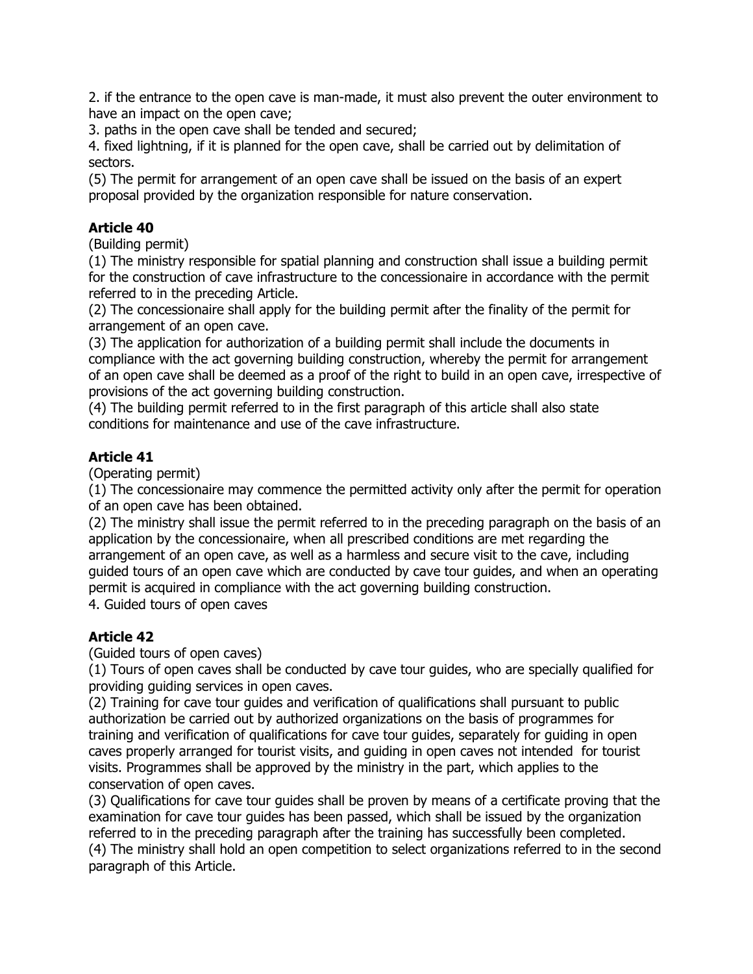2. if the entrance to the open cave is man-made, it must also prevent the outer environment to have an impact on the open cave;

3. paths in the open cave shall be tended and secured;

4. fixed lightning, if it is planned for the open cave, shall be carried out by delimitation of sectors.

(5) The permit for arrangement of an open cave shall be issued on the basis of an expert proposal provided by the organization responsible for nature conservation.

# **Article 40**

(Building permit)

(1) The ministry responsible for spatial planning and construction shall issue a building permit for the construction of cave infrastructure to the concessionaire in accordance with the permit referred to in the preceding Article.

(2) The concessionaire shall apply for the building permit after the finality of the permit for arrangement of an open cave.

(3) The application for authorization of a building permit shall include the documents in compliance with the act governing building construction, whereby the permit for arrangement of an open cave shall be deemed as a proof of the right to build in an open cave, irrespective of provisions of the act governing building construction.

(4) The building permit referred to in the first paragraph of this article shall also state conditions for maintenance and use of the cave infrastructure.

# **Article 41**

(Operating permit)

(1) The concessionaire may commence the permitted activity only after the permit for operation of an open cave has been obtained.

(2) The ministry shall issue the permit referred to in the preceding paragraph on the basis of an application by the concessionaire, when all prescribed conditions are met regarding the arrangement of an open cave, as well as a harmless and secure visit to the cave, including guided tours of an open cave which are conducted by cave tour guides, and when an operating permit is acquired in compliance with the act governing building construction.

4. Guided tours of open caves

# **Article 42**

(Guided tours of open caves)

(1) Tours of open caves shall be conducted by cave tour guides, who are specially qualified for providing guiding services in open caves.

(2) Training for cave tour guides and verification of qualifications shall pursuant to public authorization be carried out by authorized organizations on the basis of programmes for training and verification of qualifications for cave tour guides, separately for guiding in open caves properly arranged for tourist visits, and guiding in open caves not intended for tourist visits. Programmes shall be approved by the ministry in the part, which applies to the conservation of open caves.

(3) Qualifications for cave tour guides shall be proven by means of a certificate proving that the examination for cave tour guides has been passed, which shall be issued by the organization referred to in the preceding paragraph after the training has successfully been completed. (4) The ministry shall hold an open competition to select organizations referred to in the second paragraph of this Article.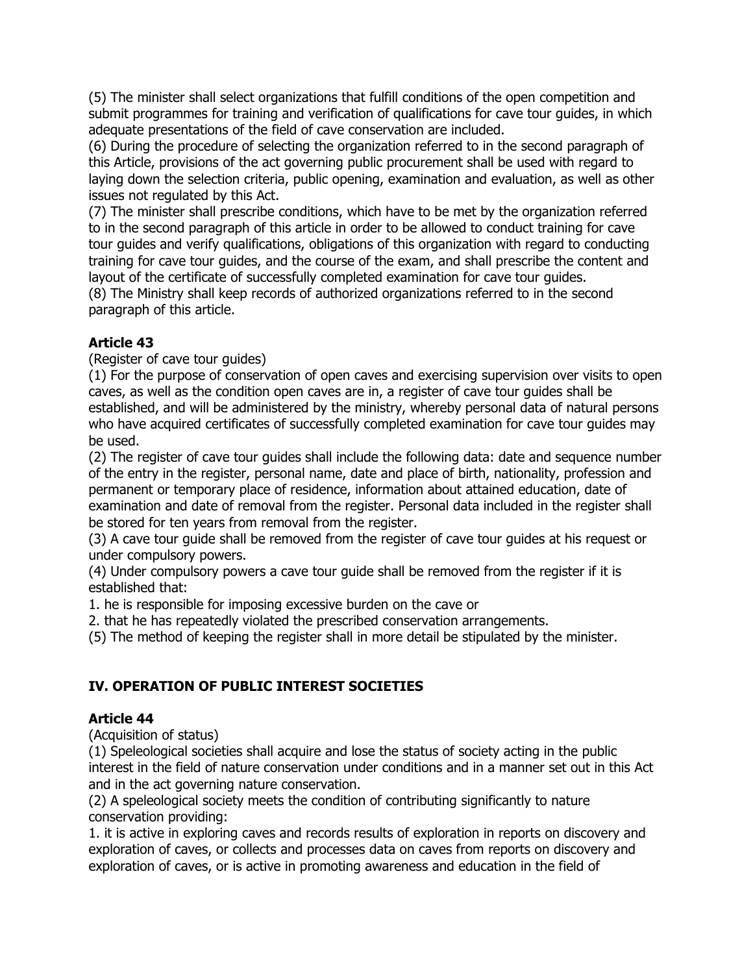(5) The minister shall select organizations that fulfill conditions of the open competition and submit programmes for training and verification of qualifications for cave tour guides, in which adequate presentations of the field of cave conservation are included.

(6) During the procedure of selecting the organization referred to in the second paragraph of this Article, provisions of the act governing public procurement shall be used with regard to laying down the selection criteria, public opening, examination and evaluation, as well as other issues not regulated by this Act.

(7) The minister shall prescribe conditions, which have to be met by the organization referred to in the second paragraph of this article in order to be allowed to conduct training for cave tour guides and verify qualifications, obligations of this organization with regard to conducting training for cave tour guides, and the course of the exam, and shall prescribe the content and layout of the certificate of successfully completed examination for cave tour guides.

(8) The Ministry shall keep records of authorized organizations referred to in the second paragraph of this article.

# **Article 43**

(Register of cave tour guides)

(1) For the purpose of conservation of open caves and exercising supervision over visits to open caves, as well as the condition open caves are in, a register of cave tour guides shall be established, and will be administered by the ministry, whereby personal data of natural persons who have acquired certificates of successfully completed examination for cave tour guides may be used.

(2) The register of cave tour guides shall include the following data: date and sequence number of the entry in the register, personal name, date and place of birth, nationality, profession and permanent or temporary place of residence, information about attained education, date of examination and date of removal from the register. Personal data included in the register shall be stored for ten years from removal from the register.

(3) A cave tour guide shall be removed from the register of cave tour guides at his request or under compulsory powers.

(4) Under compulsory powers a cave tour guide shall be removed from the register if it is established that:

1. he is responsible for imposing excessive burden on the cave or

2. that he has repeatedly violated the prescribed conservation arrangements.

(5) The method of keeping the register shall in more detail be stipulated by the minister.

# **IV. OPERATION OF PUBLIC INTEREST SOCIETIES**

# **Article 44**

(Acquisition of status)

(1) Speleological societies shall acquire and lose the status of society acting in the public interest in the field of nature conservation under conditions and in a manner set out in this Act and in the act governing nature conservation.

(2) A speleological society meets the condition of contributing significantly to nature conservation providing:

1. it is active in exploring caves and records results of exploration in reports on discovery and exploration of caves, or collects and processes data on caves from reports on discovery and exploration of caves, or is active in promoting awareness and education in the field of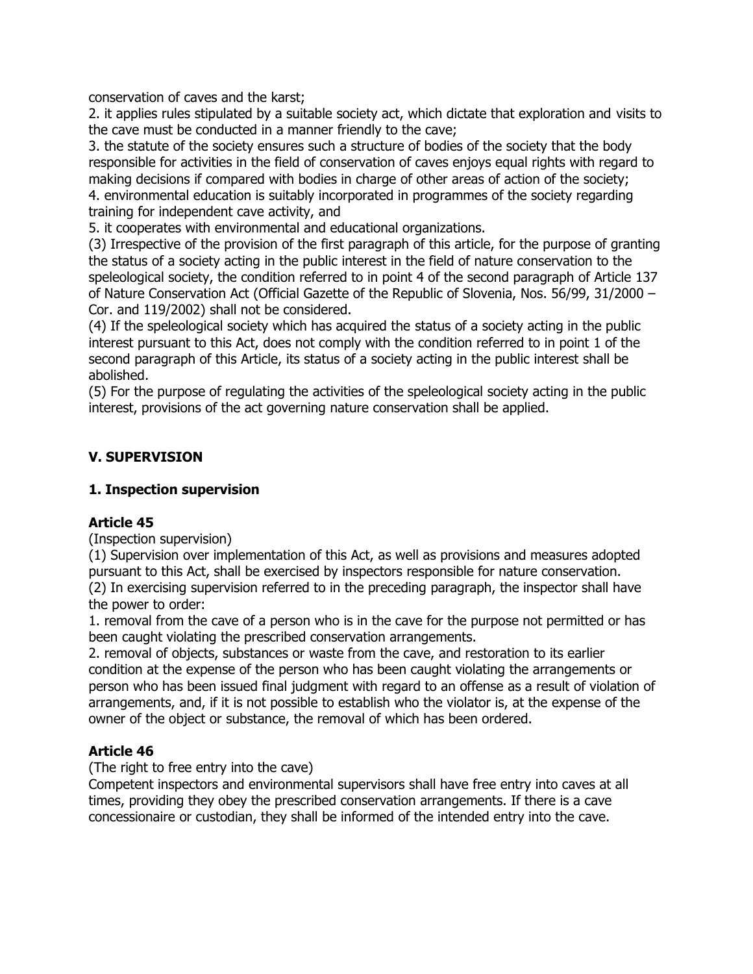conservation of caves and the karst;

2. it applies rules stipulated by a suitable society act, which dictate that exploration and visits to the cave must be conducted in a manner friendly to the cave;

3. the statute of the society ensures such a structure of bodies of the society that the body responsible for activities in the field of conservation of caves enjoys equal rights with regard to making decisions if compared with bodies in charge of other areas of action of the society; 4. environmental education is suitably incorporated in programmes of the society regarding training for independent cave activity, and

5. it cooperates with environmental and educational organizations.

(3) Irrespective of the provision of the first paragraph of this article, for the purpose of granting the status of a society acting in the public interest in the field of nature conservation to the speleological society, the condition referred to in point 4 of the second paragraph of Article 137 of Nature Conservation Act (Official Gazette of the Republic of Slovenia, Nos. 56/99, 31/2000 – Cor. and 119/2002) shall not be considered.

(4) If the speleological society which has acquired the status of a society acting in the public interest pursuant to this Act, does not comply with the condition referred to in point 1 of the second paragraph of this Article, its status of a society acting in the public interest shall be abolished.

(5) For the purpose of regulating the activities of the speleological society acting in the public interest, provisions of the act governing nature conservation shall be applied.

# **V. SUPERVISION**

# **1. Inspection supervision**

# **Article 45**

(Inspection supervision)

(1) Supervision over implementation of this Act, as well as provisions and measures adopted pursuant to this Act, shall be exercised by inspectors responsible for nature conservation. (2) In exercising supervision referred to in the preceding paragraph, the inspector shall have the power to order:

1. removal from the cave of a person who is in the cave for the purpose not permitted or has been caught violating the prescribed conservation arrangements.

2. removal of objects, substances or waste from the cave, and restoration to its earlier condition at the expense of the person who has been caught violating the arrangements or person who has been issued final judgment with regard to an offense as a result of violation of arrangements, and, if it is not possible to establish who the violator is, at the expense of the owner of the object or substance, the removal of which has been ordered.

# **Article 46**

(The right to free entry into the cave)

Competent inspectors and environmental supervisors shall have free entry into caves at all times, providing they obey the prescribed conservation arrangements. If there is a cave concessionaire or custodian, they shall be informed of the intended entry into the cave.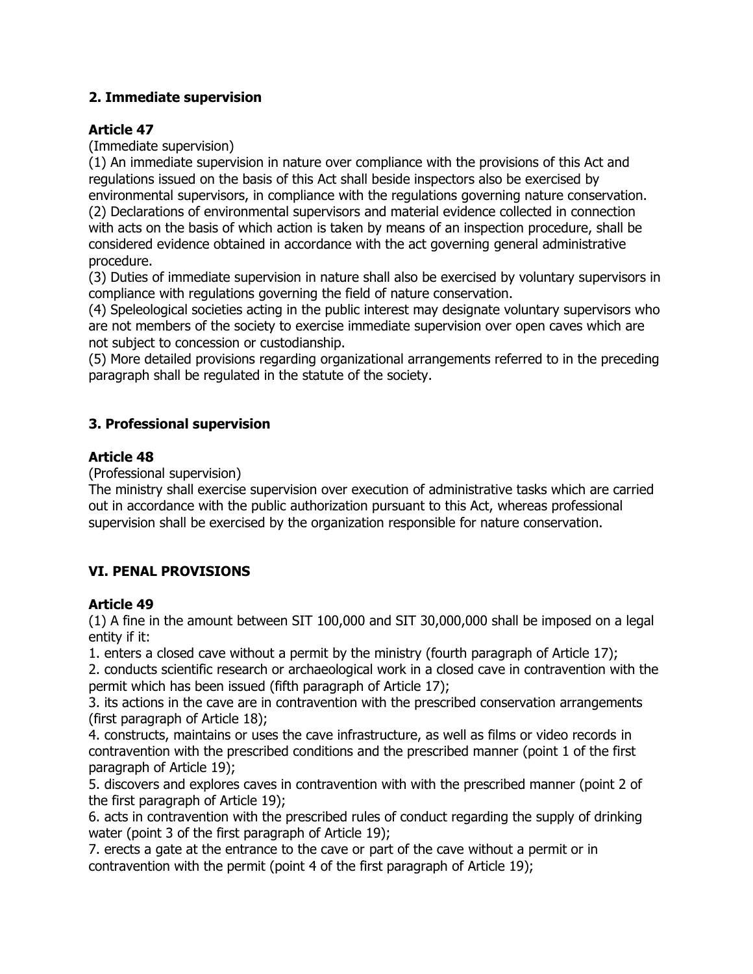# **2. Immediate supervision**

# **Article 47**

(Immediate supervision)

(1) An immediate supervision in nature over compliance with the provisions of this Act and regulations issued on the basis of this Act shall beside inspectors also be exercised by environmental supervisors, in compliance with the regulations governing nature conservation.

(2) Declarations of environmental supervisors and material evidence collected in connection with acts on the basis of which action is taken by means of an inspection procedure, shall be considered evidence obtained in accordance with the act governing general administrative procedure.

(3) Duties of immediate supervision in nature shall also be exercised by voluntary supervisors in compliance with regulations governing the field of nature conservation.

(4) Speleological societies acting in the public interest may designate voluntary supervisors who are not members of the society to exercise immediate supervision over open caves which are not subject to concession or custodianship.

(5) More detailed provisions regarding organizational arrangements referred to in the preceding paragraph shall be regulated in the statute of the society.

# **3. Professional supervision**

# **Article 48**

(Professional supervision)

The ministry shall exercise supervision over execution of administrative tasks which are carried out in accordance with the public authorization pursuant to this Act, whereas professional supervision shall be exercised by the organization responsible for nature conservation.

# **VI. PENAL PROVISIONS**

# **Article 49**

(1) A fine in the amount between SIT 100,000 and SIT 30,000,000 shall be imposed on a legal entity if it:

1. enters a closed cave without a permit by the ministry (fourth paragraph of Article 17);

2. conducts scientific research or archaeological work in a closed cave in contravention with the permit which has been issued (fifth paragraph of Article 17);

3. its actions in the cave are in contravention with the prescribed conservation arrangements (first paragraph of Article 18);

4. constructs, maintains or uses the cave infrastructure, as well as films or video records in contravention with the prescribed conditions and the prescribed manner (point 1 of the first paragraph of Article 19);

5. discovers and explores caves in contravention with with the prescribed manner (point 2 of the first paragraph of Article 19);

6. acts in contravention with the prescribed rules of conduct regarding the supply of drinking water (point 3 of the first paragraph of Article 19);

7. erects a gate at the entrance to the cave or part of the cave without a permit or in contravention with the permit (point 4 of the first paragraph of Article 19);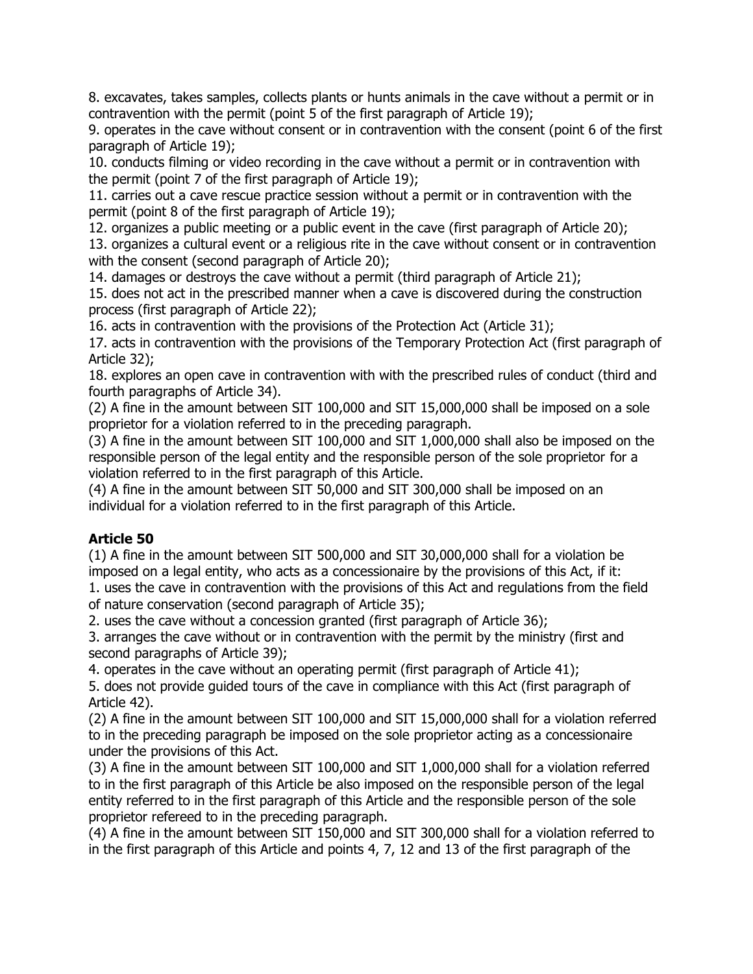8. excavates, takes samples, collects plants or hunts animals in the cave without a permit or in contravention with the permit (point 5 of the first paragraph of Article 19);

9. operates in the cave without consent or in contravention with the consent (point 6 of the first paragraph of Article 19);

10. conducts filming or video recording in the cave without a permit or in contravention with the permit (point 7 of the first paragraph of Article 19);

11. carries out a cave rescue practice session without a permit or in contravention with the permit (point 8 of the first paragraph of Article 19);

12. organizes a public meeting or a public event in the cave (first paragraph of Article 20);

13. organizes a cultural event or a religious rite in the cave without consent or in contravention with the consent (second paragraph of Article 20);

14. damages or destroys the cave without a permit (third paragraph of Article 21);

15. does not act in the prescribed manner when a cave is discovered during the construction process (first paragraph of Article 22);

16. acts in contravention with the provisions of the Protection Act (Article 31);

17. acts in contravention with the provisions of the Temporary Protection Act (first paragraph of Article 32);

18. explores an open cave in contravention with with the prescribed rules of conduct (third and fourth paragraphs of Article 34).

(2) A fine in the amount between SIT 100,000 and SIT 15,000,000 shall be imposed on a sole proprietor for a violation referred to in the preceding paragraph.

(3) A fine in the amount between SIT 100,000 and SIT 1,000,000 shall also be imposed on the responsible person of the legal entity and the responsible person of the sole proprietor for a violation referred to in the first paragraph of this Article.

(4) A fine in the amount between SIT 50,000 and SIT 300,000 shall be imposed on an individual for a violation referred to in the first paragraph of this Article.

# **Article 50**

(1) A fine in the amount between SIT 500,000 and SIT 30,000,000 shall for a violation be imposed on a legal entity, who acts as a concessionaire by the provisions of this Act, if it:

1. uses the cave in contravention with the provisions of this Act and regulations from the field of nature conservation (second paragraph of Article 35);

2. uses the cave without a concession granted (first paragraph of Article 36);

3. arranges the cave without or in contravention with the permit by the ministry (first and second paragraphs of Article 39);

4. operates in the cave without an operating permit (first paragraph of Article 41);

5. does not provide guided tours of the cave in compliance with this Act (first paragraph of Article 42).

(2) A fine in the amount between SIT 100,000 and SIT 15,000,000 shall for a violation referred to in the preceding paragraph be imposed on the sole proprietor acting as a concessionaire under the provisions of this Act.

(3) A fine in the amount between SIT 100,000 and SIT 1,000,000 shall for a violation referred to in the first paragraph of this Article be also imposed on the responsible person of the legal entity referred to in the first paragraph of this Article and the responsible person of the sole proprietor refereed to in the preceding paragraph.

(4) A fine in the amount between SIT 150,000 and SIT 300,000 shall for a violation referred to in the first paragraph of this Article and points 4, 7, 12 and 13 of the first paragraph of the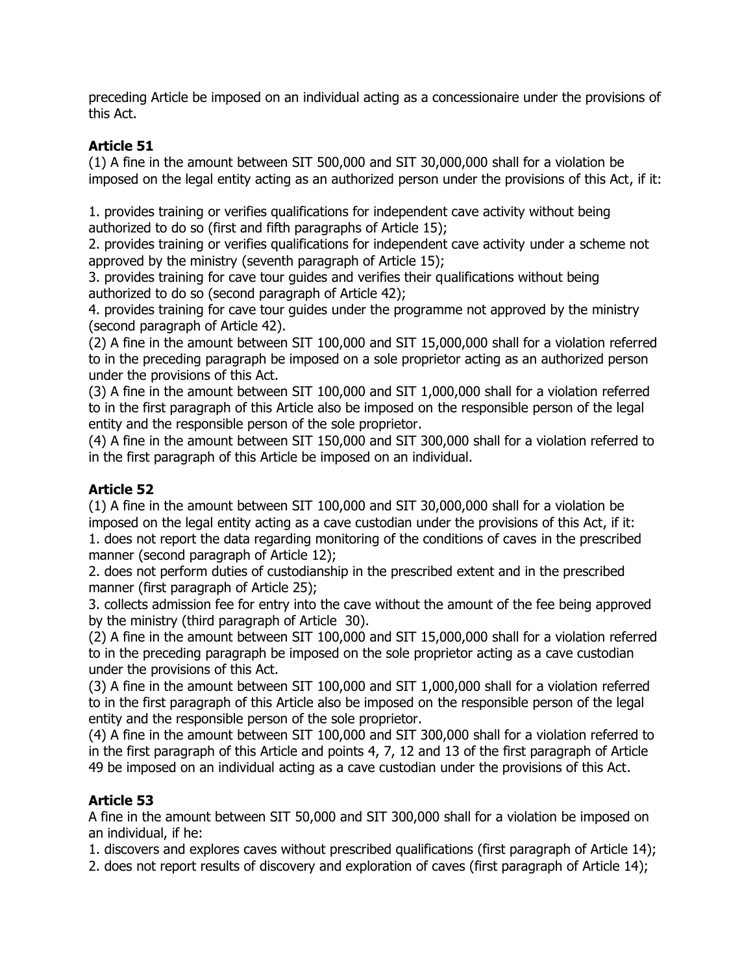preceding Article be imposed on an individual acting as a concessionaire under the provisions of this Act.

# **Article 51**

(1) A fine in the amount between SIT 500,000 and SIT 30,000,000 shall for a violation be imposed on the legal entity acting as an authorized person under the provisions of this Act, if it:

1. provides training or verifies qualifications for independent cave activity without being authorized to do so (first and fifth paragraphs of Article 15);

2. provides training or verifies qualifications for independent cave activity under a scheme not approved by the ministry (seventh paragraph of Article 15);

3. provides training for cave tour guides and verifies their qualifications without being authorized to do so (second paragraph of Article 42);

4. provides training for cave tour guides under the programme not approved by the ministry (second paragraph of Article 42).

(2) A fine in the amount between SIT 100,000 and SIT 15,000,000 shall for a violation referred to in the preceding paragraph be imposed on a sole proprietor acting as an authorized person under the provisions of this Act.

(3) A fine in the amount between SIT 100,000 and SIT 1,000,000 shall for a violation referred to in the first paragraph of this Article also be imposed on the responsible person of the legal entity and the responsible person of the sole proprietor.

(4) A fine in the amount between SIT 150,000 and SIT 300,000 shall for a violation referred to in the first paragraph of this Article be imposed on an individual.

# **Article 52**

(1) A fine in the amount between SIT 100,000 and SIT 30,000,000 shall for a violation be imposed on the legal entity acting as a cave custodian under the provisions of this Act, if it:

1. does not report the data regarding monitoring of the conditions of caves in the prescribed manner (second paragraph of Article 12);

2. does not perform duties of custodianship in the prescribed extent and in the prescribed manner (first paragraph of Article 25);

3. collects admission fee for entry into the cave without the amount of the fee being approved by the ministry (third paragraph of Article 30).

(2) A fine in the amount between SIT 100,000 and SIT 15,000,000 shall for a violation referred to in the preceding paragraph be imposed on the sole proprietor acting as a cave custodian under the provisions of this Act.

(3) A fine in the amount between SIT 100,000 and SIT 1,000,000 shall for a violation referred to in the first paragraph of this Article also be imposed on the responsible person of the legal entity and the responsible person of the sole proprietor.

(4) A fine in the amount between SIT 100,000 and SIT 300,000 shall for a violation referred to in the first paragraph of this Article and points 4, 7, 12 and 13 of the first paragraph of Article 49 be imposed on an individual acting as a cave custodian under the provisions of this Act.

# **Article 53**

A fine in the amount between SIT 50,000 and SIT 300,000 shall for a violation be imposed on an individual, if he:

1. discovers and explores caves without prescribed qualifications (first paragraph of Article 14);

2. does not report results of discovery and exploration of caves (first paragraph of Article 14);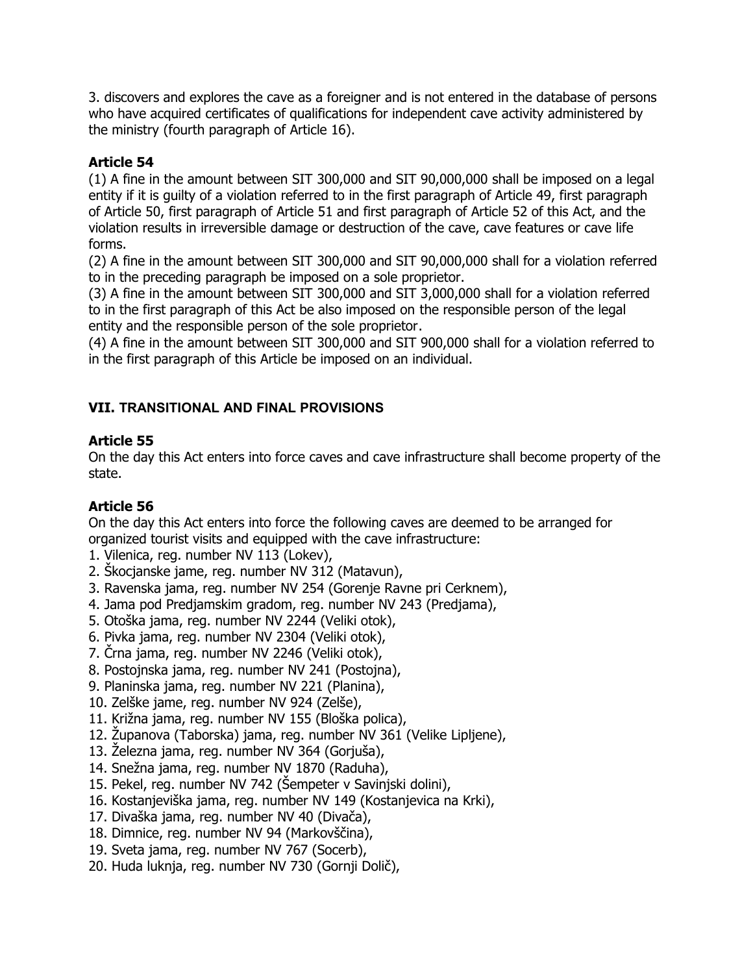3. discovers and explores the cave as a foreigner and is not entered in the database of persons who have acquired certificates of qualifications for independent cave activity administered by the ministry (fourth paragraph of Article 16).

# **Article 54**

(1) A fine in the amount between SIT 300,000 and SIT 90,000,000 shall be imposed on a legal entity if it is guilty of a violation referred to in the first paragraph of Article 49, first paragraph of Article 50, first paragraph of Article 51 and first paragraph of Article 52 of this Act, and the violation results in irreversible damage or destruction of the cave, cave features or cave life forms.

(2) A fine in the amount between SIT 300,000 and SIT 90,000,000 shall for a violation referred to in the preceding paragraph be imposed on a sole proprietor.

(3) A fine in the amount between SIT 300,000 and SIT 3,000,000 shall for a violation referred to in the first paragraph of this Act be also imposed on the responsible person of the legal entity and the responsible person of the sole proprietor.

(4) A fine in the amount between SIT 300,000 and SIT 900,000 shall for a violation referred to in the first paragraph of this Article be imposed on an individual.

# **VII. TRANSITIONAL AND FINAL PROVISIONS**

# **Article 55**

On the day this Act enters into force caves and cave infrastructure shall become property of the state.

# **Article 56**

On the day this Act enters into force the following caves are deemed to be arranged for organized tourist visits and equipped with the cave infrastructure:

- 1. Vilenica, reg. number NV 113 (Lokev),
- 2. Škocjanske jame, reg. number NV 312 (Matavun),
- 3. Ravenska jama, reg. number NV 254 (Gorenje Ravne pri Cerknem),
- 4. Jama pod Predjamskim gradom, reg. number NV 243 (Predjama),
- 5. Otoška jama, reg. number NV 2244 (Veliki otok),
- 6. Pivka jama, reg. number NV 2304 (Veliki otok),
- 7. Črna jama, reg. number NV 2246 (Veliki otok),
- 8. Postojnska jama, reg. number NV 241 (Postojna),
- 9. Planinska jama, reg. number NV 221 (Planina),
- 10. Zelške jame, reg. number NV 924 (Zelše),
- 11. Križna jama, reg. number NV 155 (Bloška polica),
- 12. Županova (Taborska) jama, reg. number NV 361 (Velike Lipljene),
- 13. Železna jama, reg. number NV 364 (Gorjuša),
- 14. Snežna jama, reg. number NV 1870 (Raduha),
- 15. Pekel, reg. number NV 742 (Šempeter v Savinjski dolini),
- 16. Kostanjeviška jama, reg. number NV 149 (Kostanjevica na Krki),
- 17. Divaška jama, reg. number NV 40 (Divača),
- 18. Dimnice, reg. number NV 94 (Markovščina),
- 19. Sveta jama, reg. number NV 767 (Socerb),
- 20. Huda luknja, reg. number NV 730 (Gornji Dolič),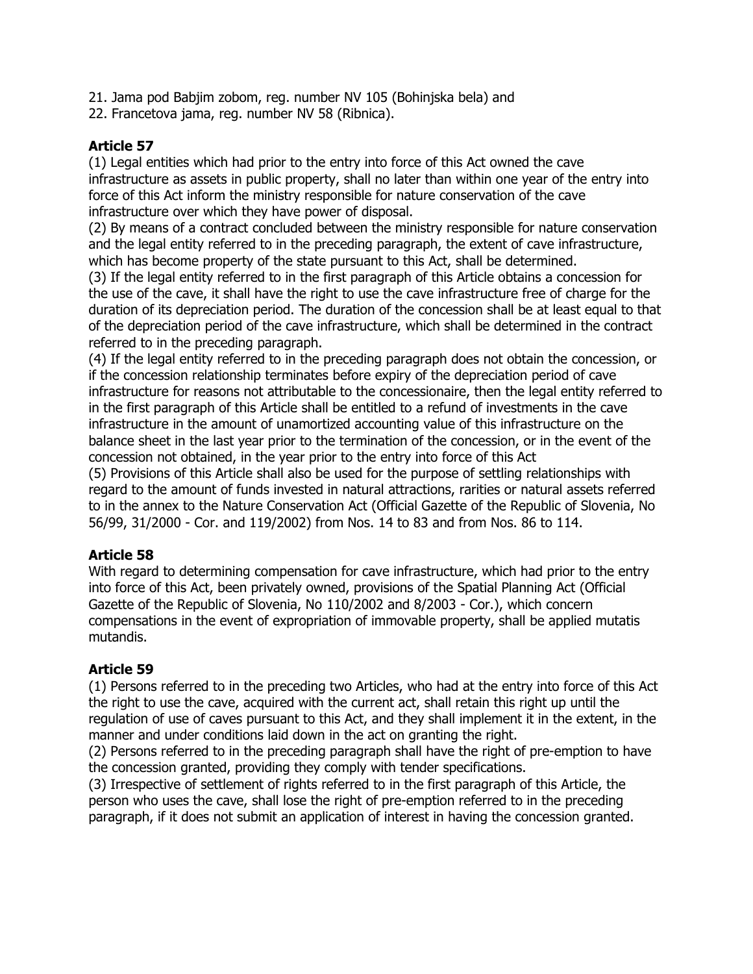- 21. Jama pod Babjim zobom, reg. number NV 105 (Bohinjska bela) and
- 22. Francetova jama, reg. number NV 58 (Ribnica).

(1) Legal entities which had prior to the entry into force of this Act owned the cave infrastructure as assets in public property, shall no later than within one year of the entry into force of this Act inform the ministry responsible for nature conservation of the cave infrastructure over which they have power of disposal.

(2) By means of a contract concluded between the ministry responsible for nature conservation and the legal entity referred to in the preceding paragraph, the extent of cave infrastructure, which has become property of the state pursuant to this Act, shall be determined.

(3) If the legal entity referred to in the first paragraph of this Article obtains a concession for the use of the cave, it shall have the right to use the cave infrastructure free of charge for the duration of its depreciation period. The duration of the concession shall be at least equal to that of the depreciation period of the cave infrastructure, which shall be determined in the contract referred to in the preceding paragraph.

(4) If the legal entity referred to in the preceding paragraph does not obtain the concession, or if the concession relationship terminates before expiry of the depreciation period of cave infrastructure for reasons not attributable to the concessionaire, then the legal entity referred to in the first paragraph of this Article shall be entitled to a refund of investments in the cave infrastructure in the amount of unamortized accounting value of this infrastructure on the balance sheet in the last year prior to the termination of the concession, or in the event of the concession not obtained, in the year prior to the entry into force of this Act

(5) Provisions of this Article shall also be used for the purpose of settling relationships with regard to the amount of funds invested in natural attractions, rarities or natural assets referred to in the annex to the Nature Conservation Act (Official Gazette of the Republic of Slovenia, No 56/99, 31/2000 - Cor. and 119/2002) from Nos. 14 to 83 and from Nos. 86 to 114.

# **Article 58**

With regard to determining compensation for cave infrastructure, which had prior to the entry into force of this Act, been privately owned, provisions of the Spatial Planning Act (Official Gazette of the Republic of Slovenia, No 110/2002 and 8/2003 - Cor.), which concern compensations in the event of expropriation of immovable property, shall be applied mutatis mutandis.

# **Article 59**

(1) Persons referred to in the preceding two Articles, who had at the entry into force of this Act the right to use the cave, acquired with the current act, shall retain this right up until the regulation of use of caves pursuant to this Act, and they shall implement it in the extent, in the manner and under conditions laid down in the act on granting the right.

(2) Persons referred to in the preceding paragraph shall have the right of pre-emption to have the concession granted, providing they comply with tender specifications.

(3) Irrespective of settlement of rights referred to in the first paragraph of this Article, the person who uses the cave, shall lose the right of pre-emption referred to in the preceding paragraph, if it does not submit an application of interest in having the concession granted.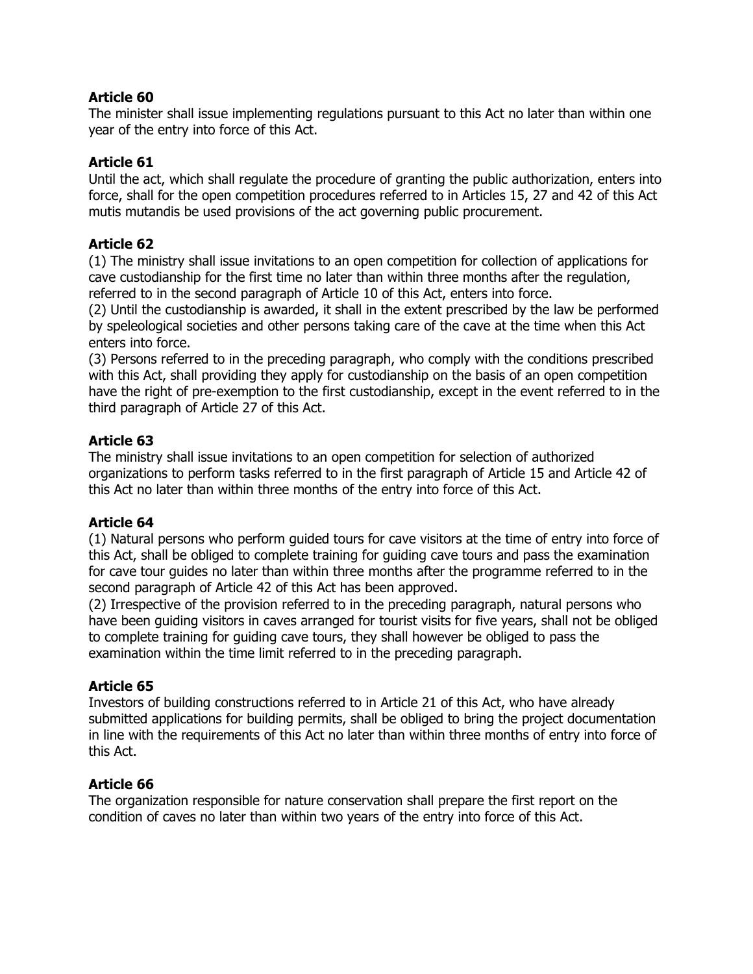The minister shall issue implementing regulations pursuant to this Act no later than within one year of the entry into force of this Act.

#### **Article 61**

Until the act, which shall regulate the procedure of granting the public authorization, enters into force, shall for the open competition procedures referred to in Articles 15, 27 and 42 of this Act mutis mutandis be used provisions of the act governing public procurement.

#### **Article 62**

(1) The ministry shall issue invitations to an open competition for collection of applications for cave custodianship for the first time no later than within three months after the regulation, referred to in the second paragraph of Article 10 of this Act, enters into force.

(2) Until the custodianship is awarded, it shall in the extent prescribed by the law be performed by speleological societies and other persons taking care of the cave at the time when this Act enters into force.

(3) Persons referred to in the preceding paragraph, who comply with the conditions prescribed with this Act, shall providing they apply for custodianship on the basis of an open competition have the right of pre-exemption to the first custodianship, except in the event referred to in the third paragraph of Article 27 of this Act.

# **Article 63**

The ministry shall issue invitations to an open competition for selection of authorized organizations to perform tasks referred to in the first paragraph of Article 15 and Article 42 of this Act no later than within three months of the entry into force of this Act.

# **Article 64**

(1) Natural persons who perform guided tours for cave visitors at the time of entry into force of this Act, shall be obliged to complete training for guiding cave tours and pass the examination for cave tour guides no later than within three months after the programme referred to in the second paragraph of Article 42 of this Act has been approved.

(2) Irrespective of the provision referred to in the preceding paragraph, natural persons who have been guiding visitors in caves arranged for tourist visits for five years, shall not be obliged to complete training for guiding cave tours, they shall however be obliged to pass the examination within the time limit referred to in the preceding paragraph.

# **Article 65**

Investors of building constructions referred to in Article 21 of this Act, who have already submitted applications for building permits, shall be obliged to bring the project documentation in line with the requirements of this Act no later than within three months of entry into force of this Act.

#### **Article 66**

The organization responsible for nature conservation shall prepare the first report on the condition of caves no later than within two years of the entry into force of this Act.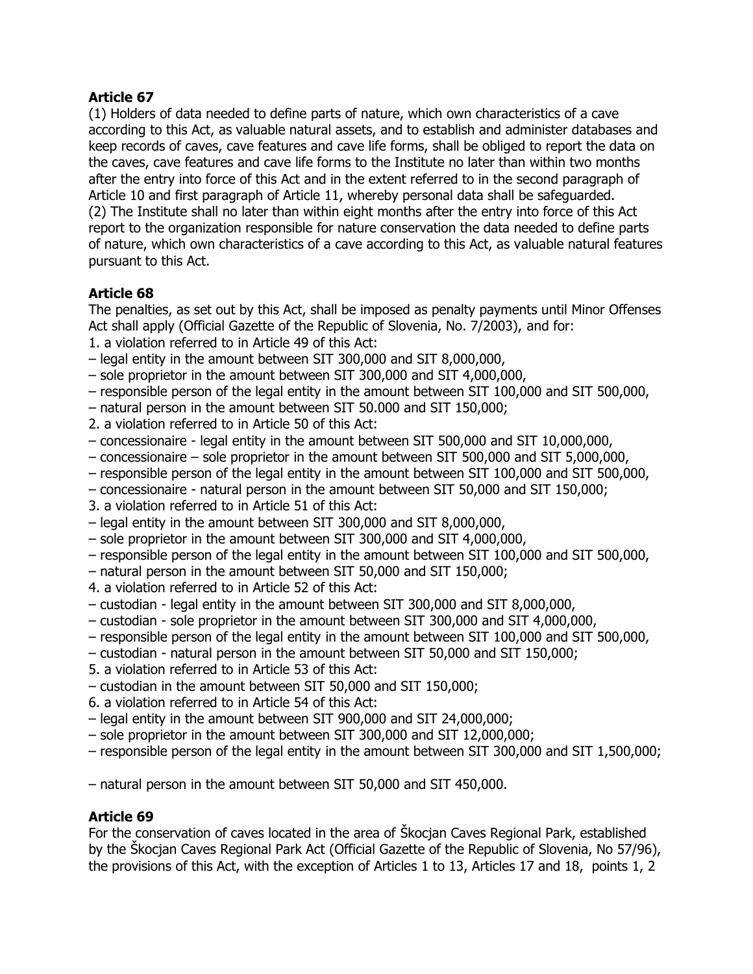(1) Holders of data needed to define parts of nature, which own characteristics of a cave according to this Act, as valuable natural assets, and to establish and administer databases and keep records of caves, cave features and cave life forms, shall be obliged to report the data on the caves, cave features and cave life forms to the Institute no later than within two months after the entry into force of this Act and in the extent referred to in the second paragraph of Article 10 and first paragraph of Article 11, whereby personal data shall be safeguarded. (2) The Institute shall no later than within eight months after the entry into force of this Act report to the organization responsible for nature conservation the data needed to define parts of nature, which own characteristics of a cave according to this Act, as valuable natural features pursuant to this Act.

# **Article 68**

The penalties, as set out by this Act, shall be imposed as penalty payments until Minor Offenses Act shall apply (Official Gazette of the Republic of Slovenia, No. 7/2003), and for:

- 1. a violation referred to in Article 49 of this Act:
- legal entity in the amount between SIT 300,000 and SIT 8,000,000,
- sole proprietor in the amount between SIT 300,000 and SIT 4,000,000,
- responsible person of the legal entity in the amount between SIT 100,000 and SIT 500,000,
- natural person in the amount between SIT 50.000 and SIT 150,000;
- 2. a violation referred to in Article 50 of this Act:
- concessionaire legal entity in the amount between SIT 500,000 and SIT 10,000,000,
- concessionaire sole proprietor in the amount between SIT 500,000 and SIT 5,000,000,
- responsible person of the legal entity in the amount between SIT 100,000 and SIT 500,000,
- concessionaire natural person in the amount between SIT 50,000 and SIT 150,000;
- 3. a violation referred to in Article 51 of this Act:
- legal entity in the amount between SIT 300,000 and SIT 8,000,000,
- sole proprietor in the amount between SIT 300,000 and SIT 4,000,000,
- responsible person of the legal entity in the amount between SIT 100,000 and SIT 500,000,
- natural person in the amount between SIT 50,000 and SIT 150,000;
- 4. a violation referred to in Article 52 of this Act:
- custodian legal entity in the amount between SIT 300,000 and SIT 8,000,000,
- custodian sole proprietor in the amount between SIT 300,000 and SIT 4,000,000,
- responsible person of the legal entity in the amount between SIT 100,000 and SIT 500,000,
- custodian natural person in the amount between SIT 50,000 and SIT 150,000;
- 5. a violation referred to in Article 53 of this Act:
- custodian in the amount between SIT 50,000 and SIT 150,000;
- 6. a violation referred to in Article 54 of this Act:
- legal entity in the amount between SIT 900,000 and SIT 24,000,000;
- sole proprietor in the amount between SIT 300,000 and SIT 12,000,000;
- responsible person of the legal entity in the amount between SIT 300,000 and SIT 1,500,000;

– natural person in the amount between SIT 50,000 and SIT 450,000.

# **Article 69**

For the conservation of caves located in the area of Škocjan Caves Regional Park, established by the Škocjan Caves Regional Park Act (Official Gazette of the Republic of Slovenia, No 57/96), the provisions of this Act, with the exception of Articles 1 to 13, Articles 17 and 18, points 1, 2